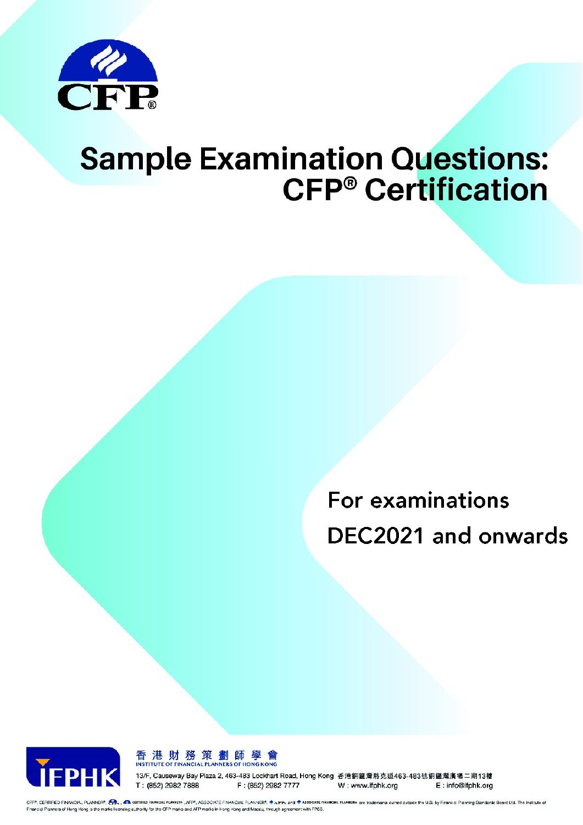

# The **SAMPLE QUESTIONS** section provides sample questions to help candidates familiarize permyto examination guodito  $\blacksquare$ ponding suggested answers. The sample questions do NOT constitute past examination papers, nor topic coverage in actual examiners.

should be noted that the sample questions are by no means intended to be a practice examination paper for candidates. Candidates should not equate success in answering the sample

> For examinations DEC2021 and onwards



香港財務策劃師學會 **INSTITUTE OF FINANCIAL PLANNERS OF HONG KONG** 

13/F, Causeway Bay Plaza 2, 463-483 Lockhart Road, Hong Kong 香港銅鑼灣駱克道463-483號銅鑼灣廣場二期13樓 T: (852) 2982 7888 F: (852) 2982 7777

W: www.ifphk.org E: info@ifphk.org

CFP®, CERTIFIED FINANCIAL PLANNER®, CR., CR. GERTIFIED FINANCIAL RAPP, ASSOCIATE FINANCIAL PLANNER®, . @ AFFP. and @ ASSOCIATE FINANCIAL PLANCIAL PLANNER® are trademarks owned cutable the U.S. by Financial Parning Standard Financial Planners of Hong Kong is the marks licensing authority for the CFP marks and AFP marks in Hong Kong and Macau, through agreement with FPSB.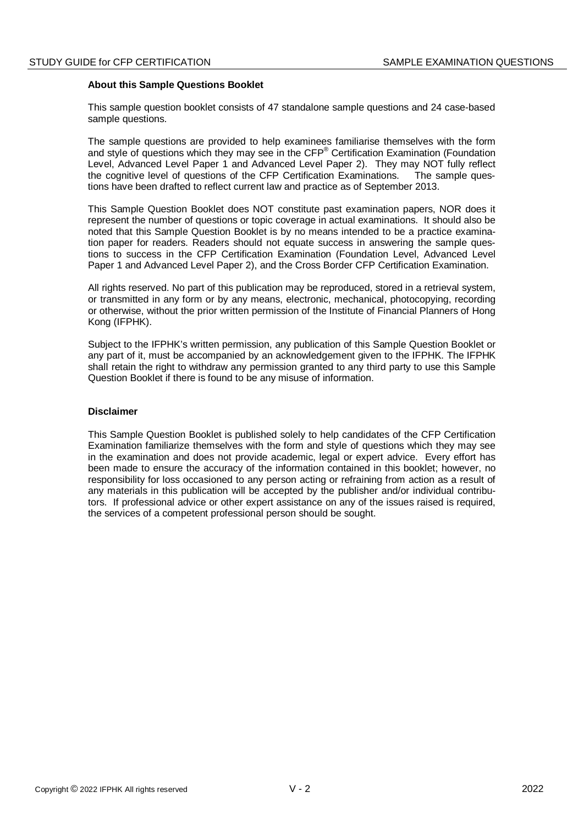# **About this Sample Questions Booklet**

This sample question booklet consists of 47 standalone sample questions and 24 case-based sample questions.

The sample questions are provided to help examinees familiarise themselves with the form and style of questions which they may see in the CFP® Certification Examination (Foundation Level, Advanced Level Paper 1 and Advanced Level Paper 2). They may NOT fully reflect the cognitive level of questions of the CFP Certification Examinations. The sample questions have been drafted to reflect current law and practice as of September 2013.

This Sample Question Booklet does NOT constitute past examination papers, NOR does it represent the number of questions or topic coverage in actual examinations. It should also be noted that this Sample Question Booklet is by no means intended to be a practice examination paper for readers. Readers should not equate success in answering the sample questions to success in the CFP Certification Examination (Foundation Level, Advanced Level Paper 1 and Advanced Level Paper 2), and the Cross Border CFP Certification Examination.

All rights reserved. No part of this publication may be reproduced, stored in a retrieval system, or transmitted in any form or by any means, electronic, mechanical, photocopying, recording or otherwise, without the prior written permission of the Institute of Financial Planners of Hong Kong (IFPHK).

Subject to the IFPHK's written permission, any publication of this Sample Question Booklet or any part of it, must be accompanied by an acknowledgement given to the IFPHK. The IFPHK shall retain the right to withdraw any permission granted to any third party to use this Sample Question Booklet if there is found to be any misuse of information.

#### **Disclaimer**

This Sample Question Booklet is published solely to help candidates of the CFP Certification Examination familiarize themselves with the form and style of questions which they may see in the examination and does not provide academic, legal or expert advice. Every effort has been made to ensure the accuracy of the information contained in this booklet; however, no responsibility for loss occasioned to any person acting or refraining from action as a result of any materials in this publication will be accepted by the publisher and/or individual contributors. If professional advice or other expert assistance on any of the issues raised is required, the services of a competent professional person should be sought.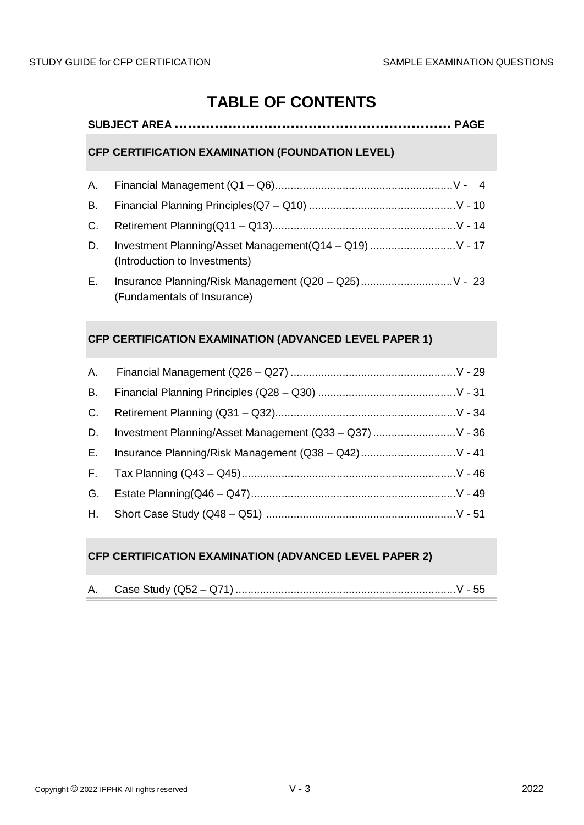# **TABLE OF CONTENTS**

# **SUBJECT AREA .............................................................. PAGE**

# **CFP CERTIFICATION EXAMINATION (FOUNDATION LEVEL)**

| D.  | Investment Planning/Asset Management(Q14 - Q19)  V - 17<br>(Introduction to Investments) |
|-----|------------------------------------------------------------------------------------------|
| E., | Insurance Planning/Risk Management (Q20 - Q25) V - 23                                    |

# **CFP CERTIFICATION EXAMINATION (ADVANCED LEVEL PAPER 1)**

(Fundamentals of Insurance)

| <b>B.</b> |                                                             |
|-----------|-------------------------------------------------------------|
| C.        |                                                             |
|           | D. Investment Planning/Asset Management (Q33 - Q37)  V - 36 |
|           | E. Insurance Planning/Risk Management (Q38 - Q42) V - 41    |
|           |                                                             |
|           |                                                             |
|           |                                                             |

# **CFP CERTIFICATION EXAMINATION (ADVANCED LEVEL PAPER 2)**

|  | Case Study $(Q52 - Q71)$ |  |
|--|--------------------------|--|
|--|--------------------------|--|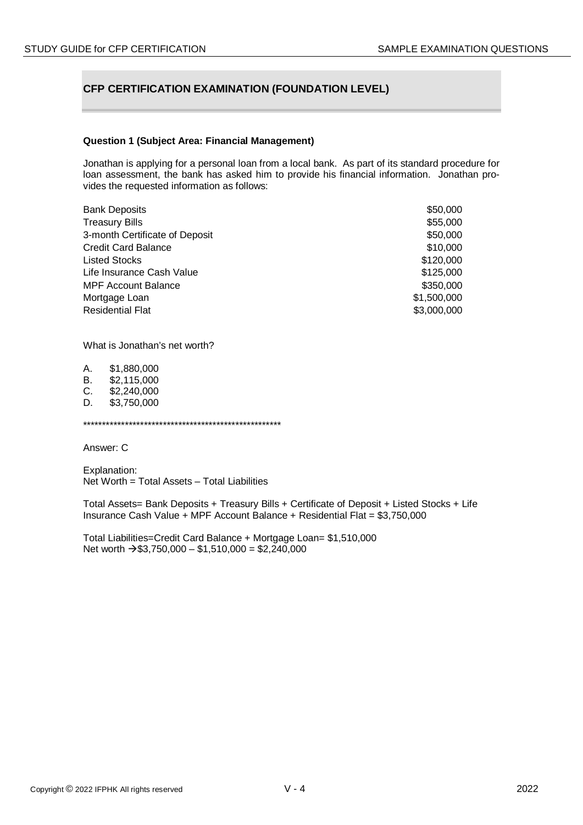# **CFP CERTIFICATION EXAMINATION (FOUNDATION LEVEL)**

#### **Question 1 (Subject Area: Financial Management)**

Jonathan is applying for a personal loan from a local bank. As part of its standard procedure for loan assessment, the bank has asked him to provide his financial information. Jonathan provides the requested information as follows:

| <b>Bank Deposits</b>           | \$50,000    |
|--------------------------------|-------------|
| <b>Treasury Bills</b>          | \$55,000    |
| 3-month Certificate of Deposit | \$50,000    |
| <b>Credit Card Balance</b>     | \$10,000    |
| <b>Listed Stocks</b>           | \$120,000   |
| Life Insurance Cash Value      | \$125,000   |
| <b>MPF Account Balance</b>     | \$350,000   |
| Mortgage Loan                  | \$1,500,000 |
| <b>Residential Flat</b>        | \$3,000,000 |

What is Jonathan's net worth?

A. \$1,880,000<br>B. \$2.115.000 B. \$2,115,000<br>C. \$2.240.000 \$2,240,000 D. \$3,750,000

\*\*\*\*\*\*\*\*\*\*\*\*\*\*\*\*\*\*\*\*\*\*\*\*\*\*\*\*\*\*\*\*\*\*\*\*\*\*\*\*\*\*\*\*\*\*\*\*\*\*\*\*

Answer: C

Explanation: Net Worth = Total Assets – Total Liabilities

Total Assets= Bank Deposits + Treasury Bills + Certificate of Deposit + Listed Stocks + Life Insurance Cash Value + MPF Account Balance + Residential Flat = \$3,750,000

Total Liabilities=Credit Card Balance + Mortgage Loan= \$1,510,000 Net worth  $\rightarrow$  \$3,750,000 – \$1,510,000 = \$2,240,000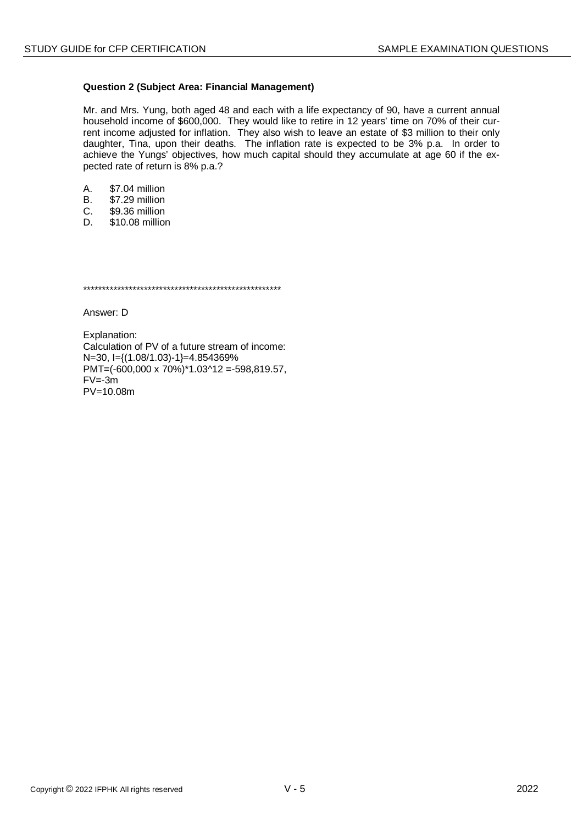#### **Question 2 (Subject Area: Financial Management)**

Mr. and Mrs. Yung, both aged 48 and each with a life expectancy of 90, have a current annual household income of \$600,000. They would like to retire in 12 years' time on 70% of their current income adjusted for inflation. They also wish to leave an estate of \$3 million to their only daughter, Tina, upon their deaths. The inflation rate is expected to be 3% p.a. In order to achieve the Yungs' objectives, how much capital should they accumulate at age 60 if the expected rate of return is 8% p.a.?

- \$7.04 million A.
- \$7.29 million  $B<sub>1</sub>$
- \$9.36 million  $C_{1}$
- D. \$10.08 million

Answer: D

Explanation: Calculation of PV of a future stream of income: N=30, I={(1.08/1.03)-1}=4.854369%  $PMT=(-600,000 \times 70\%)$ <sup>\*</sup>1.03^12 = -598,819.57,  $FV = -3m$  $PV = 10.08m$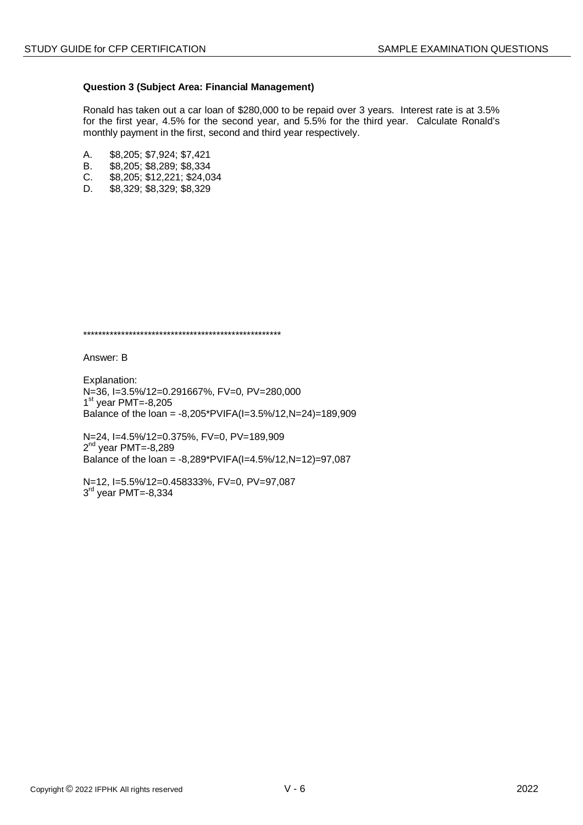#### **Question 3 (Subject Area: Financial Management)**

Ronald has taken out a car loan of \$280,000 to be repaid over 3 years. Interest rate is at 3.5% for the first year, 4.5% for the second year, and 5.5% for the third year. Calculate Ronald's monthly payment in the first, second and third year respectively.

- A. \$8,205; \$7,924; \$7,421<br>B. \$8.205: \$8.289: \$8.334
- B. \$8,205; \$8,289; \$8,334<br>C. \$8,205; \$12,221; \$24,0
- C. \$8,205; \$12,221; \$24,034
- D. \$8,329; \$8,329; \$8,329

\*\*\*\*\*\*\*\*\*\*\*\*\*\*\*\*\*\*\*\*\*\*\*\*\*\*\*\*\*\*\*\*\*\*\*\*\*\*\*\*\*\*\*\*\*\*\*\*\*\*\*\*

Answer: B

Explanation: N=36, I=3.5%/12=0.291667%, FV=0, PV=280,000  $1<sup>st</sup>$  year PMT=-8,205 Balance of the loan = -8,205\*PVIFA(I=3.5%/12,N=24)=189,909

N=24, I=4.5%/12=0.375%, FV=0, PV=189,909  $2<sup>nd</sup>$  year PMT=-8,289 Balance of the loan = -8,289\*PVIFA(I=4.5%/12,N=12)=97,087

N=12, I=5.5%/12=0.458333%, FV=0, PV=97,087  $3<sup>rd</sup>$  year PMT=-8,334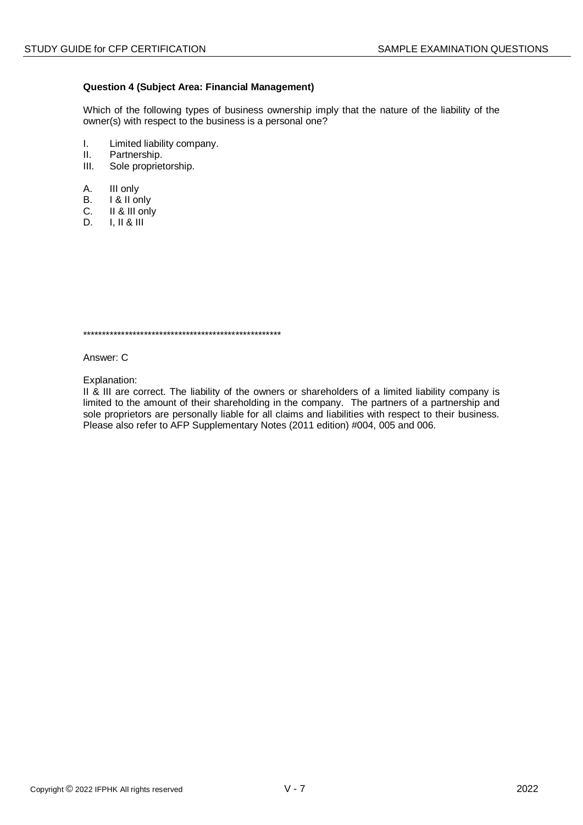#### **Question 4 (Subject Area: Financial Management)**

Which of the following types of business ownership imply that the nature of the liability of the owner(s) with respect to the business is a personal one?

- I. Limited liability company.<br>II. Partnership.
- II. Partnership.<br>III. Sole propriet
- Sole proprietorship.
- A. III only
- B. I & II only
- C. II & III only
- D. I, II & III

\*\*\*\*\*\*\*\*\*\*\*\*\*\*\*\*\*\*\*\*\*\*\*\*\*\*\*\*\*\*\*\*\*\*\*\*\*\*\*\*\*\*\*\*\*\*\*\*\*\*\*\*

Answer: C

Explanation:

II & III are correct. The liability of the owners or shareholders of a limited liability company is limited to the amount of their shareholding in the company. The partners of a partnership and sole proprietors are personally liable for all claims and liabilities with respect to their business. Please also refer to AFP Supplementary Notes (2011 edition) #004, 005 and 006.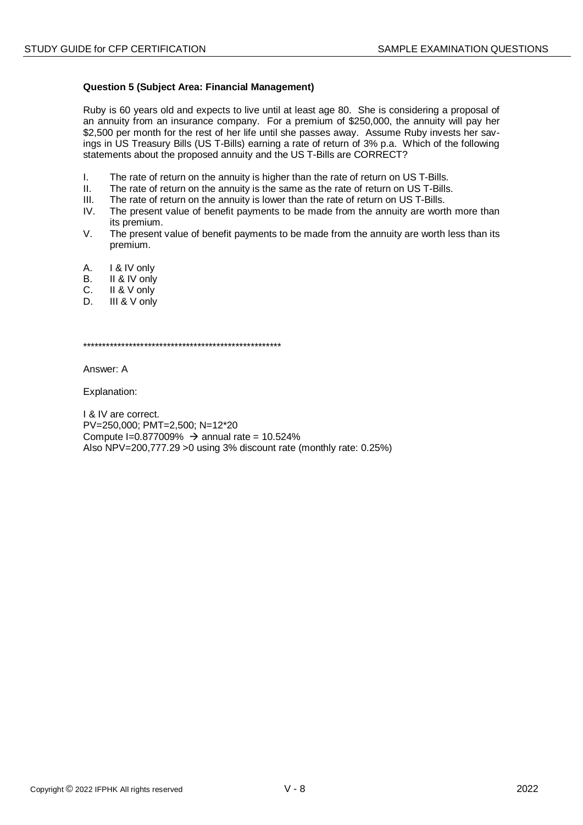#### **Question 5 (Subject Area: Financial Management)**

Ruby is 60 years old and expects to live until at least age 80. She is considering a proposal of an annuity from an insurance company. For a premium of \$250,000, the annuity will pay her \$2,500 per month for the rest of her life until she passes away. Assume Ruby invests her savings in US Treasury Bills (US T-Bills) earning a rate of return of 3% p.a. Which of the following statements about the proposed annuity and the US T-Bills are CORRECT?

- I. The rate of return on the annuity is higher than the rate of return on US T-Bills.
- II. The rate of return on the annuity is the same as the rate of return on US T-Bills.
- III. The rate of return on the annuity is lower than the rate of return on US T-Bills.<br>IV The present value of benefit payments to be made from the annuity are wort
- The present value of benefit payments to be made from the annuity are worth more than its premium.
- V. The present value of benefit payments to be made from the annuity are worth less than its premium.
- A. I & IV only<br>B. II & IV only
- II & IV only
- C. II & V only
- D. **III & V** only

\*\*\*\*\*\*\*\*\*\*\*\*\*\*\*\*\*\*\*\*\*\*\*\*\*\*\*\*\*\*\*\*\*\*\*\*\*\*\*\*\*\*\*\*\*\*\*\*\*\*\*\*

Answer: A

Explanation:

I & IV are correct. PV=250,000; PMT=2,500; N=12\*20 Compute I=0.877009%  $\rightarrow$  annual rate = 10.524% Also NPV=200,777.29 >0 using 3% discount rate (monthly rate: 0.25%)

Copyright © 2022 IFPHK All rights reserved V - 8 2022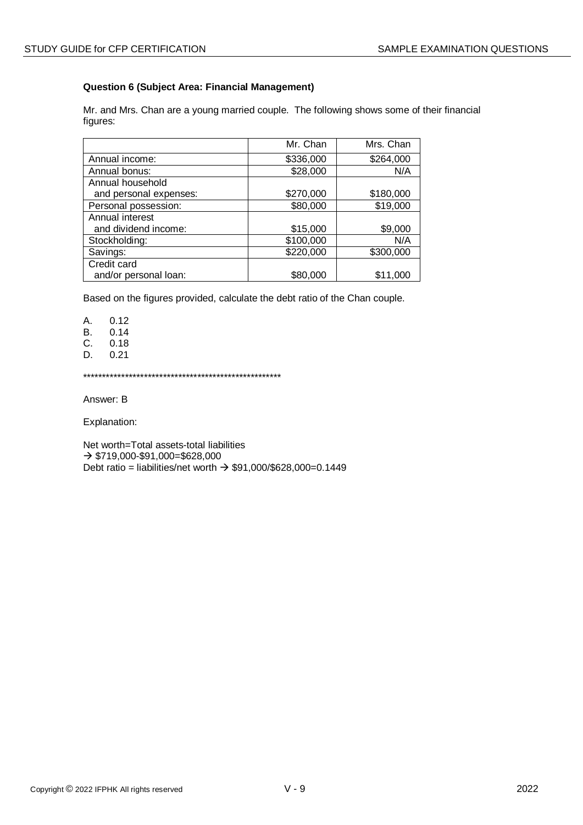## **Question 6 (Subject Area: Financial Management)**

Mr. and Mrs. Chan are a young married couple. The following shows some of their financial figures:

|                        | Mr. Chan  | Mrs. Chan |
|------------------------|-----------|-----------|
| Annual income:         | \$336,000 | \$264,000 |
| Annual bonus:          | \$28,000  | N/A       |
| Annual household       |           |           |
| and personal expenses: | \$270,000 | \$180,000 |
| Personal possession:   | \$80,000  | \$19,000  |
| Annual interest        |           |           |
| and dividend income:   | \$15,000  | \$9,000   |
| Stockholding:          | \$100,000 | N/A       |
| Savings:               | \$220,000 | \$300,000 |
| Credit card            |           |           |
| and/or personal loan:  | \$80,000  | \$11,000  |

Based on the figures provided, calculate the debt ratio of the Chan couple.

A. 0.12

B. 0.14

C. 0.18

D. 0.21

\*\*\*\*\*\*\*\*\*\*\*\*\*\*\*\*\*\*\*\*\*\*\*\*\*\*\*\*\*\*\*\*\*\*\*\*\*\*\*\*\*\*\*\*\*\*\*\*\*\*\*\*

Answer: B

Explanation:

Net worth=Total assets-total liabilities  $\rightarrow$  \$719,000-\$91,000=\$628,000 Debt ratio = liabilities/net worth  $\rightarrow$  \$91,000/\$628,000=0.1449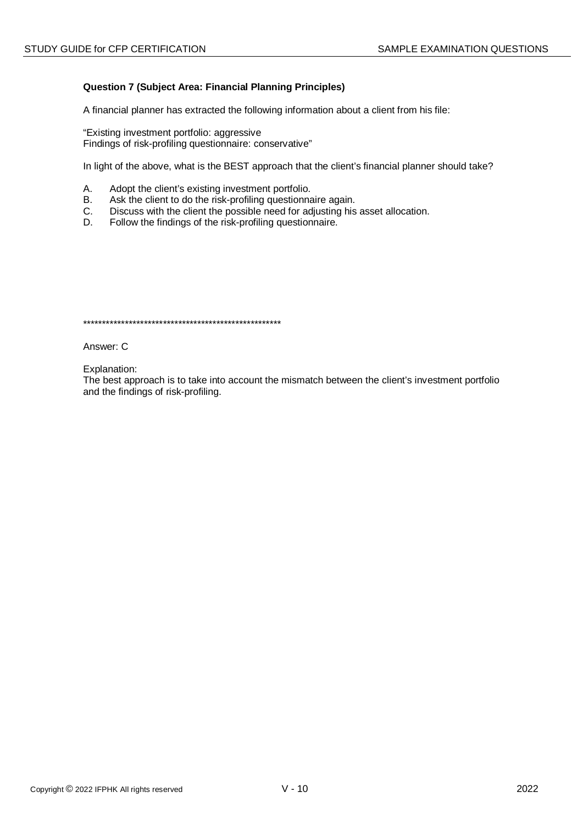## **Question 7 (Subject Area: Financial Planning Principles)**

A financial planner has extracted the following information about a client from his file:

"Existing investment portfolio: aggressive Findings of risk-profiling questionnaire: conservative"

In light of the above, what is the BEST approach that the client's financial planner should take?

- А. Adopt the client's existing investment portfolio.
- $B<sub>r</sub>$ Ask the client to do the risk-profiling questionnaire again.
- Discuss with the client the possible need for adjusting his asset allocation.  $C_{1}$
- D. Follow the findings of the risk-profiling questionnaire.

Answer: C

Explanation:

The best approach is to take into account the mismatch between the client's investment portfolio and the findings of risk-profiling.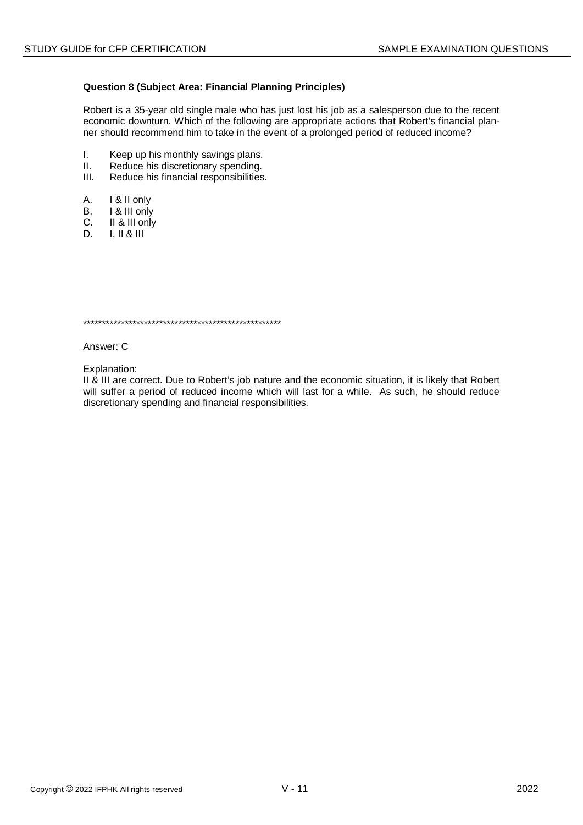#### **Question 8 (Subject Area: Financial Planning Principles)**

Robert is a 35-year old single male who has just lost his job as a salesperson due to the recent economic downturn. Which of the following are appropriate actions that Robert's financial planner should recommend him to take in the event of a prolonged period of reduced income?

- $\mathbf{L}$ Keep up his monthly savings plans.
- $II.$ Reduce his discretionary spending.
- $III.$ Reduce his financial responsibilities.
- $A_{1}$ I & II only
- 1 & III only  $B<sub>1</sub>$
- $C_{1}$ II & III only
- D.  $I, II & III$

Answer: C

Explanation:

Il & III are correct. Due to Robert's job nature and the economic situation, it is likely that Robert will suffer a period of reduced income which will last for a while. As such, he should reduce discretionary spending and financial responsibilities.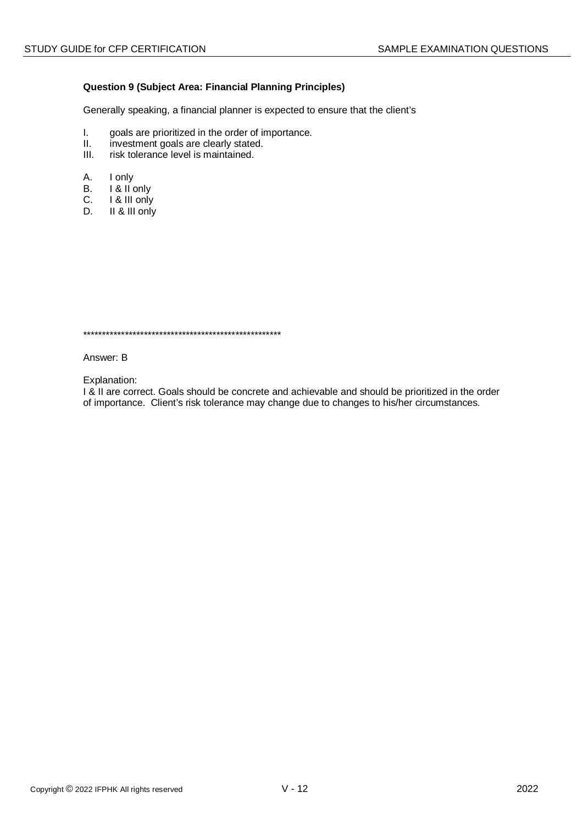#### **Question 9 (Subject Area: Financial Planning Principles)**

Generally speaking, a financial planner is expected to ensure that the client's

- I. goals are prioritized in the order of importance.<br>II. investment goals are clearly stated.
- II. investment goals are clearly stated.<br>III. risk tolerance level is maintained.
- risk tolerance level is maintained.
- A. I only
- B. I & II only
- C. **I** & III only<br>D. **II** & III only
- II & III only

\*\*\*\*\*\*\*\*\*\*\*\*\*\*\*\*\*\*\*\*\*\*\*\*\*\*\*\*\*\*\*\*\*\*\*\*\*\*\*\*\*\*\*\*\*\*\*\*\*\*\*\*

Answer: B

Explanation:

I & II are correct. Goals should be concrete and achievable and should be prioritized in the order of importance. Client's risk tolerance may change due to changes to his/her circumstances.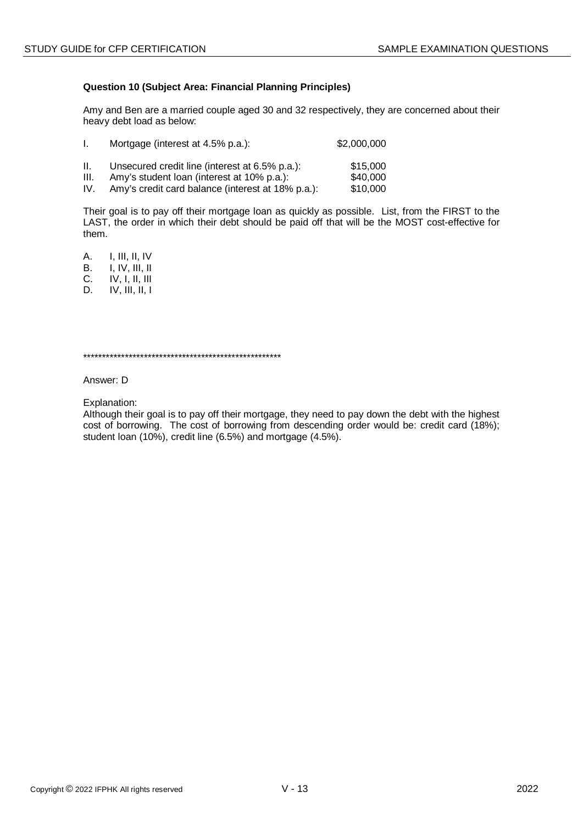## **Question 10 (Subject Area: Financial Planning Principles)**

Amy and Ben are a married couple aged 30 and 32 respectively, they are concerned about their heavy debt load as below:

| L.   | Mortgage (interest at 4.5% p.a.):                 | \$2,000,000 |
|------|---------------------------------------------------|-------------|
| II.  | Unsecured credit line (interest at 6.5% p.a.):    | \$15,000    |
| III. | Amy's student loan (interest at 10% p.a.):        | \$40,000    |
| IV.  | Amy's credit card balance (interest at 18% p.a.): | \$10,000    |

Their goal is to pay off their mortgage loan as quickly as possible. List, from the FIRST to the LAST, the order in which their debt should be paid off that will be the MOST cost-effective for them.

A. I, III, II, IV<br>B. I. IV. III. II B. I, IV, III, II<br>C. IV, I, II, III C. IV, I, II, III

D. IV, III, II, I

\*\*\*\*\*\*\*\*\*\*\*\*\*\*\*\*\*\*\*\*\*\*\*\*\*\*\*\*\*\*\*\*\*\*\*\*\*\*\*\*\*\*\*\*\*\*\*\*\*\*\*\*

Answer: D

Explanation:

Although their goal is to pay off their mortgage, they need to pay down the debt with the highest cost of borrowing. The cost of borrowing from descending order would be: credit card (18%); student loan (10%), credit line (6.5%) and mortgage (4.5%).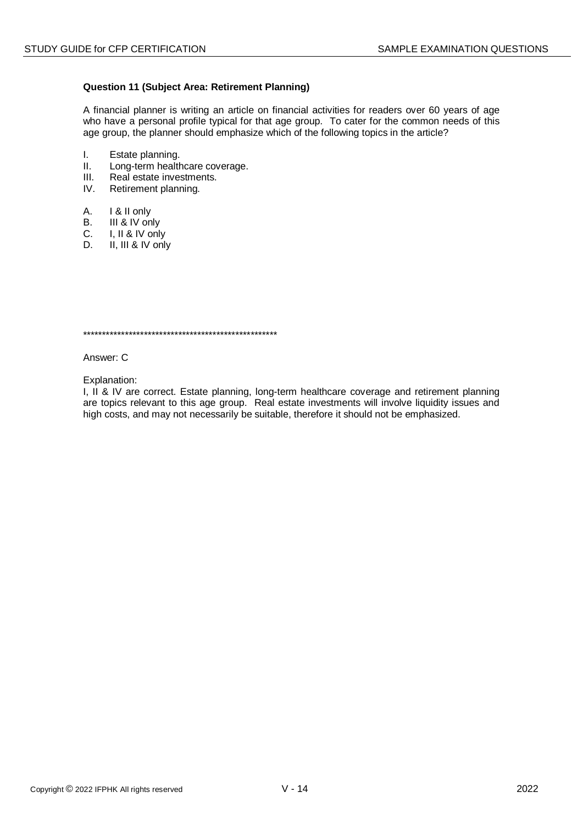## **Question 11 (Subject Area: Retirement Planning)**

A financial planner is writing an article on financial activities for readers over 60 years of age who have a personal profile typical for that age group. To cater for the common needs of this age group, the planner should emphasize which of the following topics in the article?

- I. Estate planning.<br>II. Long-term health
- II. Long-term healthcare coverage.<br>III. Real estate investments.
- III. Real estate investments.<br>IV. Retirement planning.
- Retirement planning.
- A. I & II only
- B. III & IV only<br>C. I. II & IV only
- C. I, II & IV only<br>D. II. III & IV only
- II. III & IV only

\*\*\*\*\*\*\*\*\*\*\*\*\*\*\*\*\*\*\*\*\*\*\*\*\*\*\*\*\*\*\*\*\*\*\*\*\*\*\*\*\*\*\*\*\*\*\*\*\*\*\*

Answer: C

Explanation:

I, II & IV are correct. Estate planning, long-term healthcare coverage and retirement planning are topics relevant to this age group. Real estate investments will involve liquidity issues and high costs, and may not necessarily be suitable, therefore it should not be emphasized.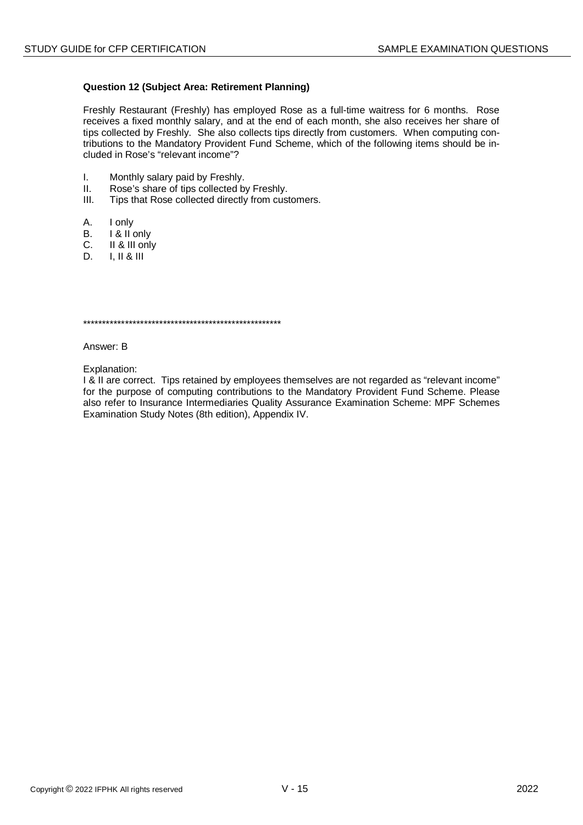#### **Question 12 (Subject Area: Retirement Planning)**

Freshly Restaurant (Freshly) has employed Rose as a full-time waitress for 6 months. Rose receives a fixed monthly salary, and at the end of each month, she also receives her share of tips collected by Freshly. She also collects tips directly from customers. When computing contributions to the Mandatory Provident Fund Scheme, which of the following items should be included in Rose's "relevant income"?

- I. Monthly salary paid by Freshly.
- II. Rose's share of tips collected by Freshly.
- III. Tips that Rose collected directly from customers.
- A. I only<br>B. I & II o
- B. I & II only<br>C. II & III onl
- II & III only
- D. I, II & III

\*\*\*\*\*\*\*\*\*\*\*\*\*\*\*\*\*\*\*\*\*\*\*\*\*\*\*\*\*\*\*\*\*\*\*\*\*\*\*\*\*\*\*\*\*\*\*\*\*\*\*\*

Answer: B

Explanation:

I & II are correct. Tips retained by employees themselves are not regarded as "relevant income" for the purpose of computing contributions to the Mandatory Provident Fund Scheme. Please also refer to Insurance Intermediaries Quality Assurance Examination Scheme: MPF Schemes Examination Study Notes (8th edition), Appendix IV.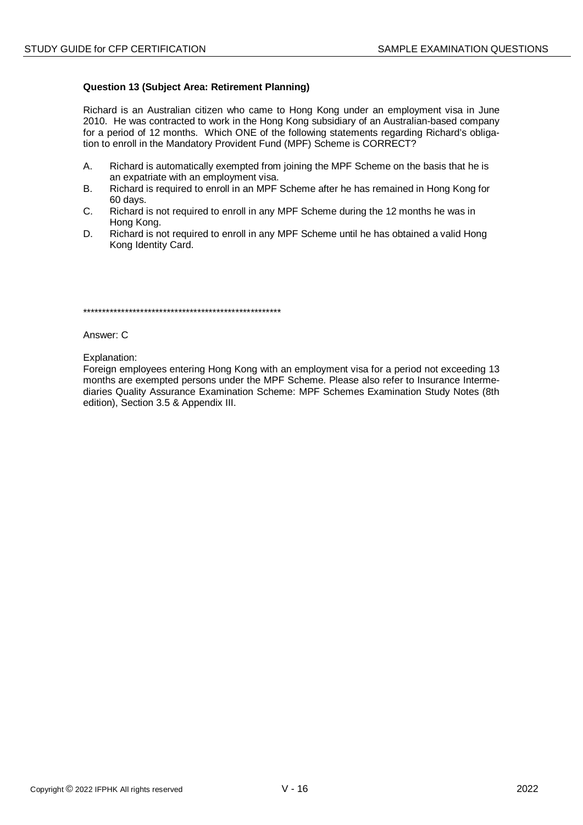#### **Question 13 (Subject Area: Retirement Planning)**

Richard is an Australian citizen who came to Hong Kong under an employment visa in June 2010. He was contracted to work in the Hong Kong subsidiary of an Australian-based company for a period of 12 months. Which ONE of the following statements regarding Richard's obligation to enroll in the Mandatory Provident Fund (MPF) Scheme is CORRECT?

- Richard is automatically exempted from joining the MPF Scheme on the basis that he is A. an expatriate with an employment visa.
- Richard is required to enroll in an MPF Scheme after he has remained in Hong Kong for **B.** 60 days.
- $C_{\cdot}$ Richard is not required to enroll in any MPF Scheme during the 12 months he was in Hong Kong.
- D. Richard is not required to enroll in any MPF Scheme until he has obtained a valid Hong Kong Identity Card.

at a traditional and a characteristic development of a traditional development of a traditional development of a traditional development of a traditional development of a traditional development of a traditional developmen

Answer: C

Explanation:

Foreign employees entering Hong Kong with an employment visa for a period not exceeding 13 months are exempted persons under the MPF Scheme. Please also refer to Insurance Intermediaries Quality Assurance Examination Scheme: MPF Schemes Examination Study Notes (8th edition), Section 3.5 & Appendix III.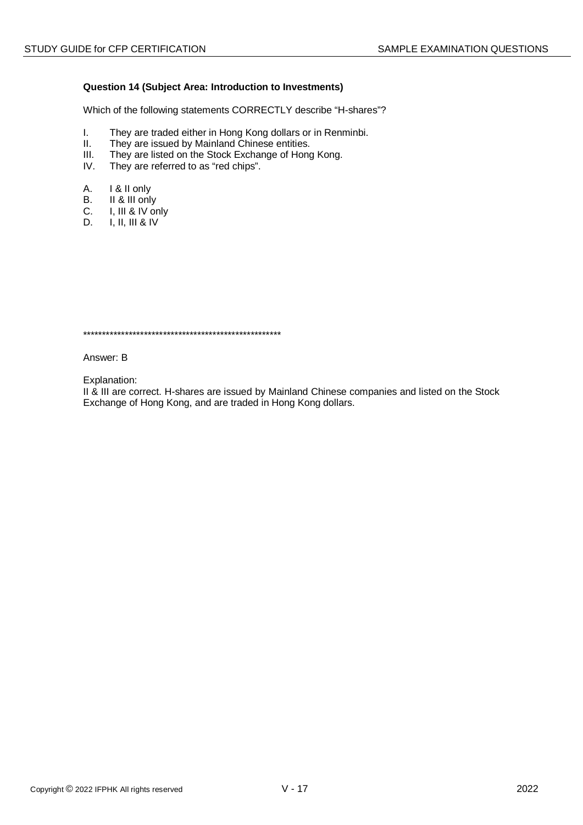#### Question 14 (Subject Area: Introduction to Investments)

Which of the following statements CORRECTLY describe "H-shares"?

- They are traded either in Hong Kong dollars or in Renminbi.  $\mathbf{L}$
- $II.$ They are issued by Mainland Chinese entities.
- $III.$ They are listed on the Stock Exchange of Hong Kong.
- IV. They are referred to as "red chips".
- А. I & II only
- II & III only **B.**
- $C_{1}$ I, III & IV only
- D.  $I, II, III & IV$

Answer: B

Explanation:

II & III are correct. H-shares are issued by Mainland Chinese companies and listed on the Stock Exchange of Hong Kong, and are traded in Hong Kong dollars.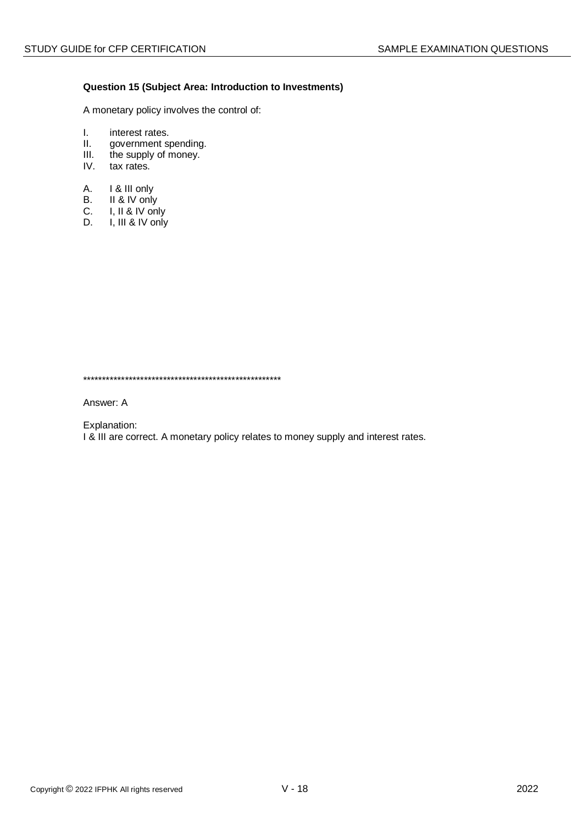#### **Question 15 (Subject Area: Introduction to Investments)**

A monetary policy involves the control of:

- I. interest rates.<br>II. government s
- II. government spending.<br>III. the supply of money.
- the supply of money.
- IV. tax rates.
- A. I & III only
- B. II & IV only<br>C. I. II & IV on
- I, II & IV only
- D. I, III & IV only

\*\*\*\*\*\*\*\*\*\*\*\*\*\*\*\*\*\*\*\*\*\*\*\*\*\*\*\*\*\*\*\*\*\*\*\*\*\*\*\*\*\*\*\*\*\*\*\*\*\*\*\*

Answer: A

Explanation:

I & III are correct. A monetary policy relates to money supply and interest rates.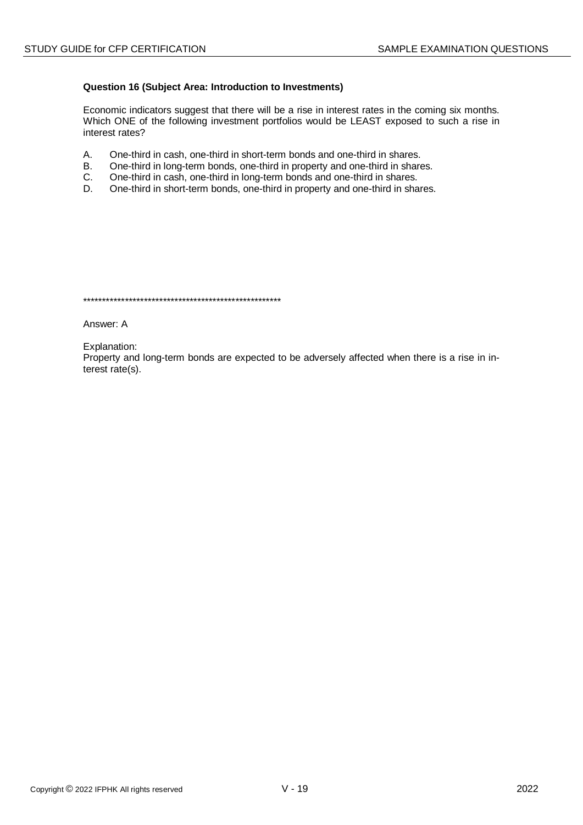#### Question 16 (Subject Area: Introduction to Investments)

Economic indicators suggest that there will be a rise in interest rates in the coming six months. Which ONE of the following investment portfolios would be LEAST exposed to such a rise in interest rates?

- $A_{1}$ One-third in cash, one-third in short-term bonds and one-third in shares.
- $B<sub>r</sub>$ One-third in long-term bonds, one-third in property and one-third in shares.
- $C.$ One-third in cash, one-third in long-term bonds and one-third in shares.
- D. One-third in short-term bonds, one-third in property and one-third in shares.

Answer: A

Explanation:

Property and long-term bonds are expected to be adversely affected when there is a rise in interest  $rate(s)$ .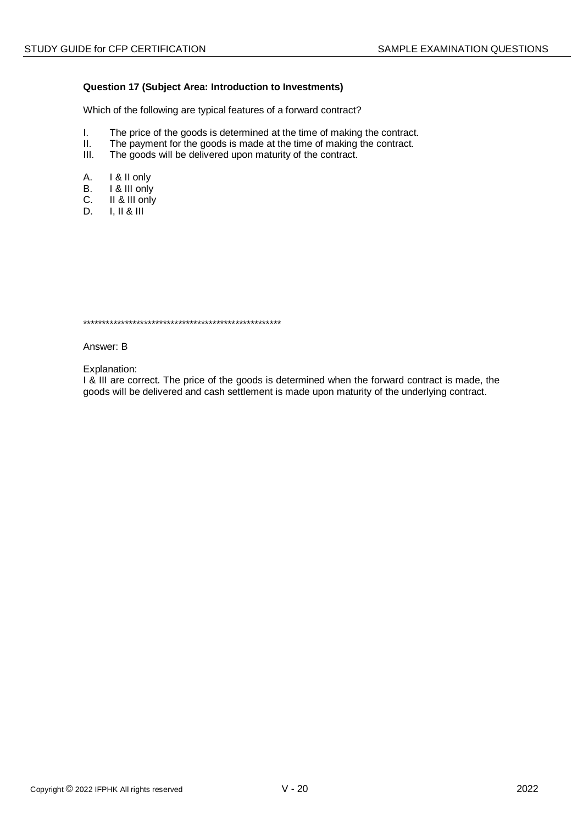#### Question 17 (Subject Area: Introduction to Investments)

Which of the following are typical features of a forward contract?

- $\mathbf{L}$ The price of the goods is determined at the time of making the contract.
- $II.$ The payment for the goods is made at the time of making the contract.
- $III.$ The goods will be delivered upon maturity of the contract.
- Α. I & II only
- I & III only **B.**
- II & III only C.
- $D_{-}$  $1.118111$

Answer: B

Explanation:

I & III are correct. The price of the goods is determined when the forward contract is made, the goods will be delivered and cash settlement is made upon maturity of the underlying contract.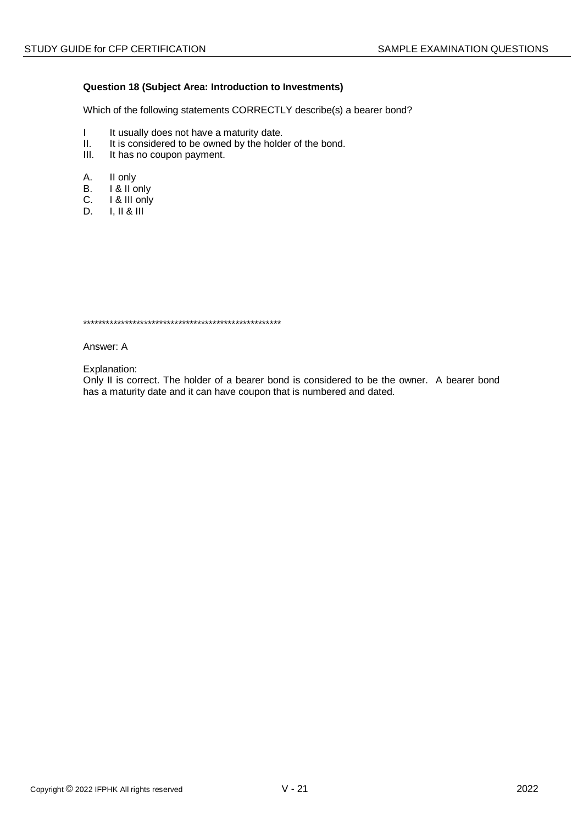#### Question 18 (Subject Area: Introduction to Investments)

Which of the following statements CORRECTLY describe(s) a bearer bond?

- $\mathbf{I}$ It usually does not have a maturity date.
- $II.$ It is considered to be owned by the holder of the bond.
- $III.$ It has no coupon payment.
- Α. II only
- I & II only **B.**
- I & III only C.
- D.  $\vert$ .  $\vert\vert$  &  $\vert\vert\vert$

Answer: A

Explanation:

Only II is correct. The holder of a bearer bond is considered to be the owner. A bearer bond has a maturity date and it can have coupon that is numbered and dated.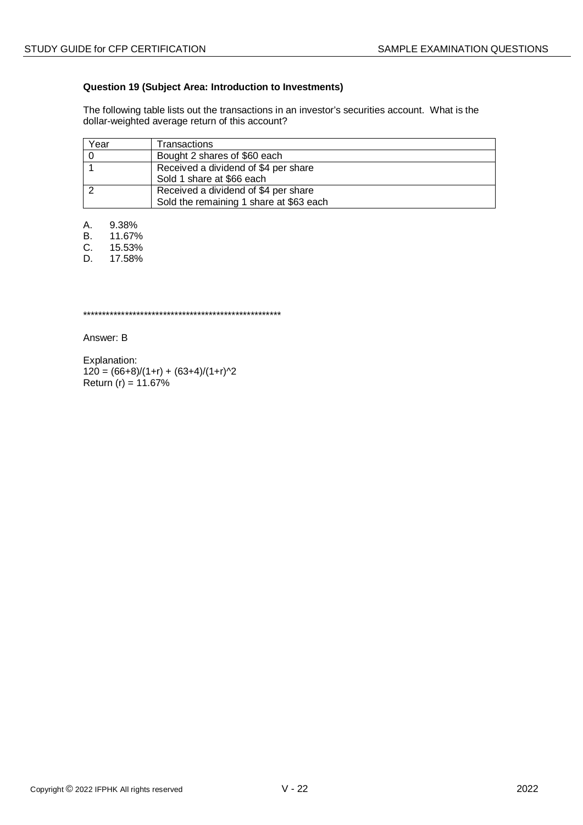## **Question 19 (Subject Area: Introduction to Investments)**

The following table lists out the transactions in an investor's securities account. What is the dollar-weighted average return of this account?

| Year | Transactions                                                                    |
|------|---------------------------------------------------------------------------------|
|      | Bought 2 shares of \$60 each                                                    |
|      | Received a dividend of \$4 per share<br>Sold 1 share at \$66 each               |
|      | Received a dividend of \$4 per share<br>Sold the remaining 1 share at \$63 each |

A. 9.38%<br>B. 11.67%

B. 11.67%

C. 15.53%

D. 17.58%

\*\*\*\*\*\*\*\*\*\*\*\*\*\*\*\*\*\*\*\*\*\*\*\*\*\*\*\*\*\*\*\*\*\*\*\*\*\*\*\*\*\*\*\*\*\*\*\*\*\*\*\*

Answer: B

Explanation:  $120 = (66+8)/(1+r) + (63+4)/(1+r)^{2}$ Return  $(r) = 11.67%$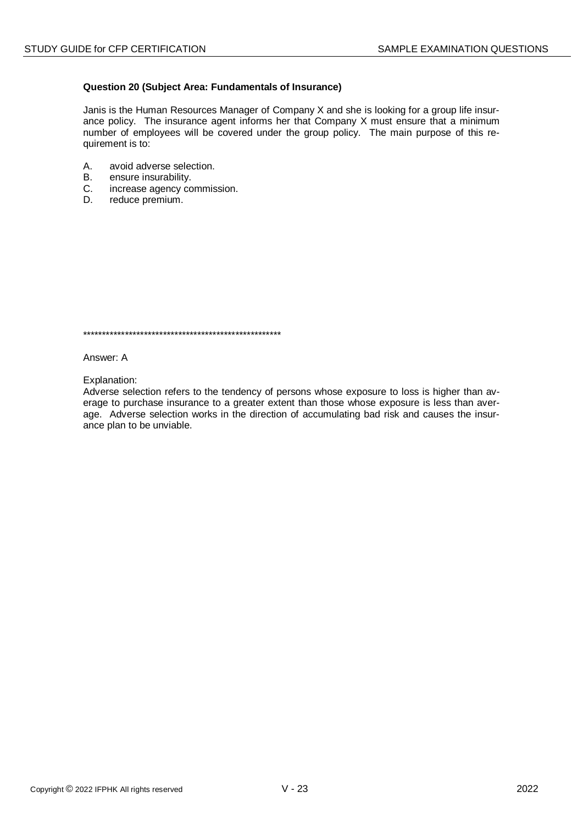#### Question 20 (Subject Area: Fundamentals of Insurance)

Janis is the Human Resources Manager of Company X and she is looking for a group life insurance policy. The insurance agent informs her that Company X must ensure that a minimum number of employees will be covered under the group policy. The main purpose of this requirement is to:

- A. avoid adverse selection.
- $B<sub>1</sub>$ ensure insurability.
- increase agency commission. C.
- D. reduce premium.

Answer: A

Explanation:

Adverse selection refers to the tendency of persons whose exposure to loss is higher than average to purchase insurance to a greater extent than those whose exposure is less than average. Adverse selection works in the direction of accumulating bad risk and causes the insurance plan to be unviable.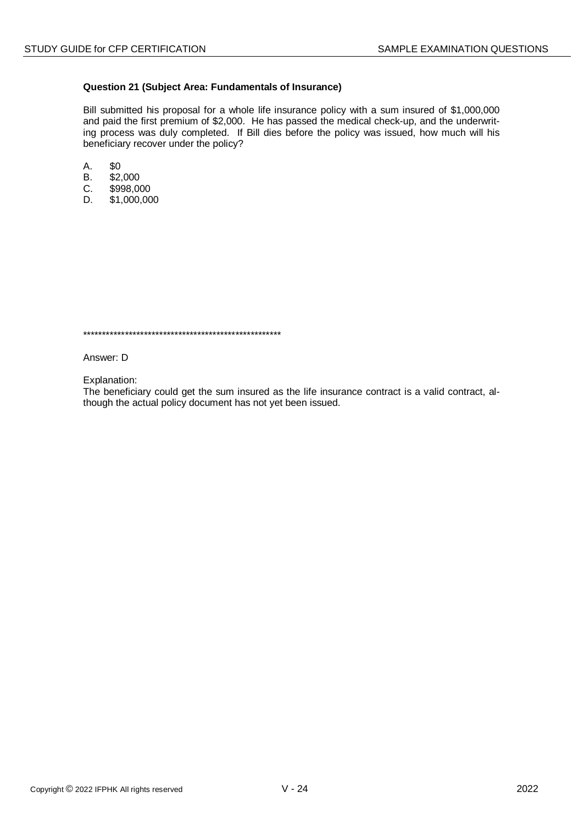#### Question 21 (Subject Area: Fundamentals of Insurance)

Bill submitted his proposal for a whole life insurance policy with a sum insured of \$1,000,000 and paid the first premium of \$2,000. He has passed the medical check-up, and the underwriting process was duly completed. If Bill dies before the policy was issued, how much will his beneficiary recover under the policy?

- Α. \$0
- $B<sub>1</sub>$  $$2,000$
- \$998,000 C.
- D. \$1,000,000

Answer: D

Explanation:

The beneficiary could get the sum insured as the life insurance contract is a valid contract, although the actual policy document has not yet been issued.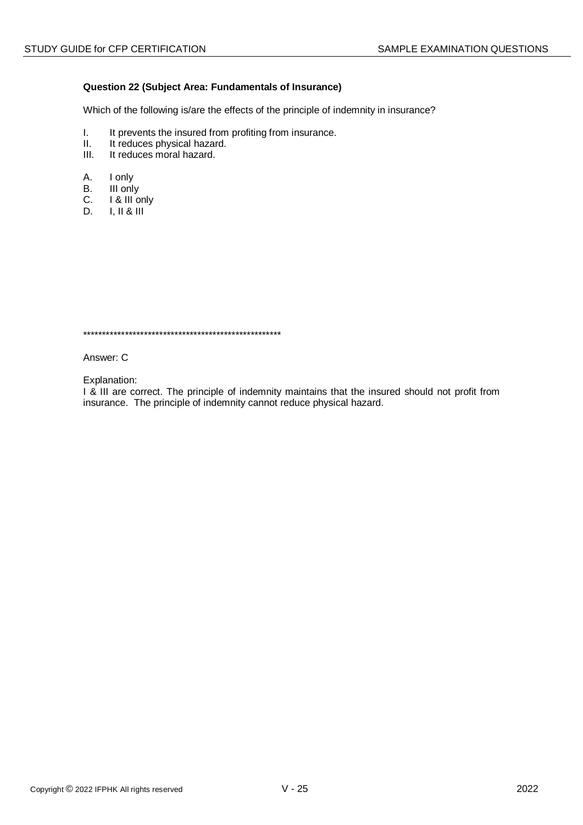## Question 22 (Subject Area: Fundamentals of Insurance)

Which of the following is/are the effects of the principle of indemnity in insurance?

- $\mathbf{L}$ It prevents the insured from profiting from insurance.
- $II.$ It reduces physical hazard.
- $III.$ It reduces moral hazard.
- Α. I only
- III only **B.**
- I & III only  $C_{1}$
- $1.11 & 8.111$ D.

Answer: C

Explanation:

I & III are correct. The principle of indemnity maintains that the insured should not profit from insurance. The principle of indemnity cannot reduce physical hazard.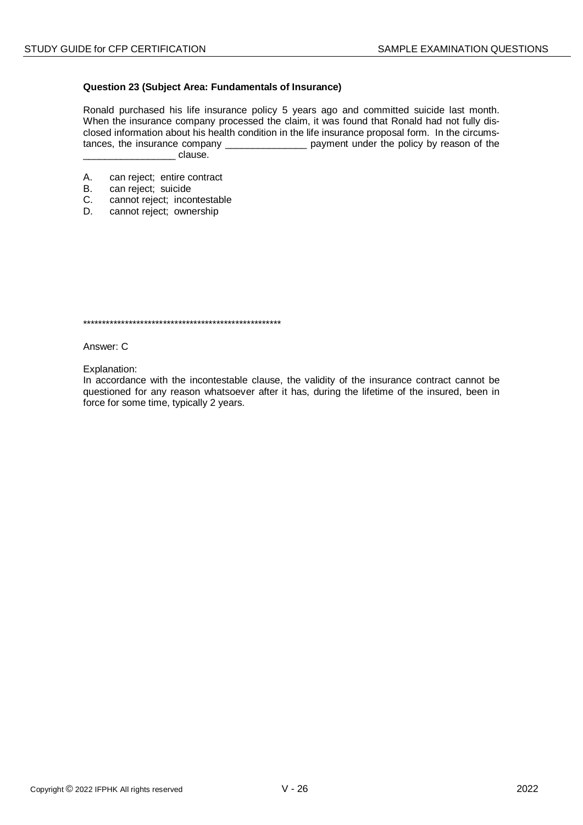#### **Question 23 (Subject Area: Fundamentals of Insurance)**

Ronald purchased his life insurance policy 5 years ago and committed suicide last month. When the insurance company processed the claim, it was found that Ronald had not fully disclosed information about his health condition in the life insurance proposal form. In the circumstances, the insurance company \_\_\_\_\_\_\_\_\_\_\_\_\_\_\_ payment under the policy by reason of the clause.

- A. can reject; entire contract
- B. can reject; suicide
- C. cannot reject; incontestable<br>D. cannot reject: ownership
- cannot reject; ownership

\*\*\*\*\*\*\*\*\*\*\*\*\*\*\*\*\*\*\*\*\*\*\*\*\*\*\*\*\*\*\*\*\*\*\*\*\*\*\*\*\*\*\*\*\*\*\*\*\*\*\*\*

Answer: C

Explanation:

In accordance with the incontestable clause, the validity of the insurance contract cannot be questioned for any reason whatsoever after it has, during the lifetime of the insured, been in force for some time, typically 2 years.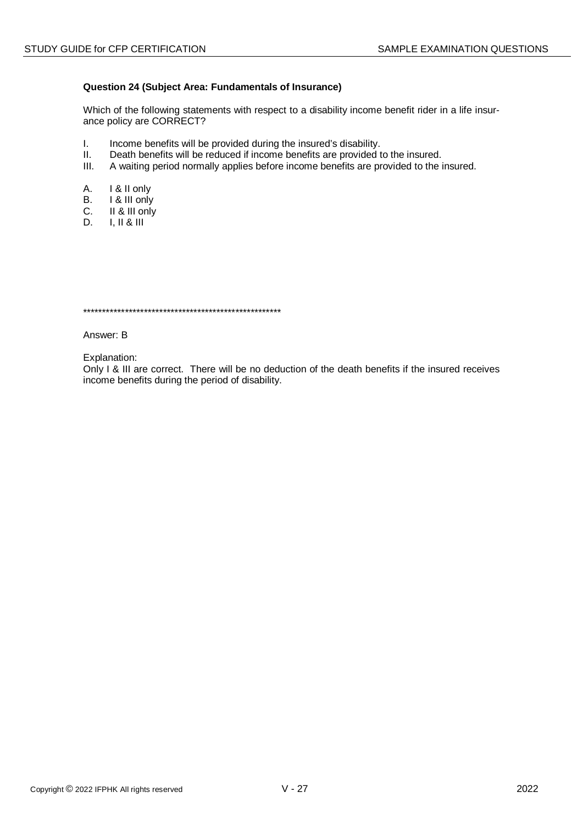#### Question 24 (Subject Area: Fundamentals of Insurance)

Which of the following statements with respect to a disability income benefit rider in a life insurance policy are CORRECT?

- $\mathbf{L}$ Income benefits will be provided during the insured's disability.
- $II.$ Death benefits will be reduced if income benefits are provided to the insured.
- $III.$ A waiting period normally applies before income benefits are provided to the insured.
- А. I & II only
- I & III only  $B<sub>r</sub>$
- II & III only  $C_{1}$
- D.  $I, II & III$

ability of the development of the development of the development of the development of the development of the development of the development of the development of the development of the development of the development of th

Answer: B

Explanation:

Only I & III are correct. There will be no deduction of the death benefits if the insured receives income benefits during the period of disability.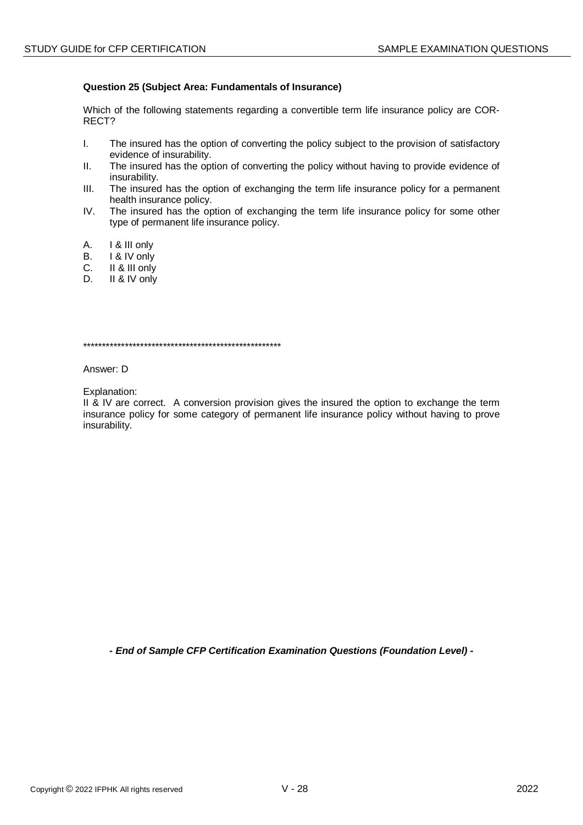#### Question 25 (Subject Area: Fundamentals of Insurance)

Which of the following statements regarding a convertible term life insurance policy are COR-RECT?

- $\mathbf{L}$ The insured has the option of converting the policy subject to the provision of satisfactory evidence of insurability.
- $II.$ The insured has the option of converting the policy without having to provide evidence of insurability.
- The insured has the option of exchanging the term life insurance policy for a permanent  $III.$ health insurance policy.
- $IV_{-}$ The insured has the option of exchanging the term life insurance policy for some other type of permanent life insurance policy.
- $A_{1}$ 1 & III only
- I & IV only B.
- II & III only  $C_{1}$
- II & IV only  $\mathsf{D}$

Answer: D

Explanation:

II & IV are correct. A conversion provision gives the insured the option to exchange the term insurance policy for some category of permanent life insurance policy without having to prove insurability.

- End of Sample CFP Certification Examination Questions (Foundation Level) -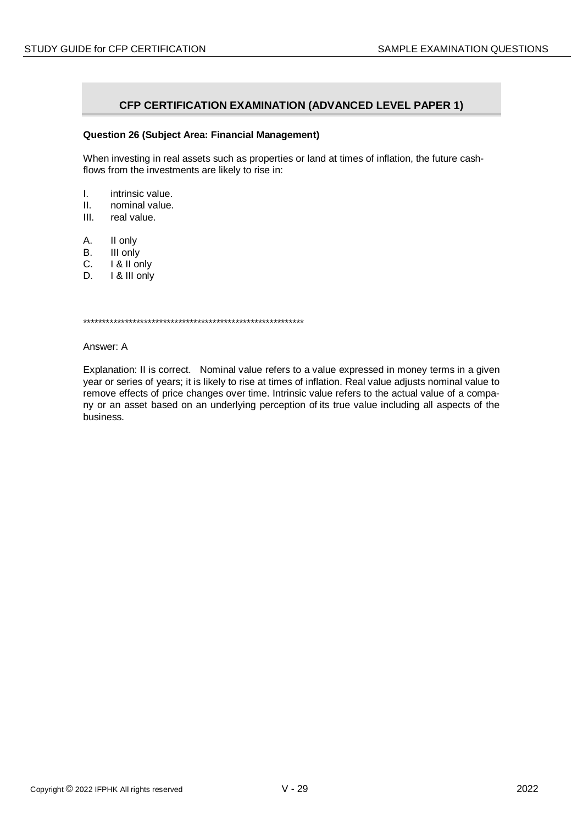## **CFP CERTIFICATION EXAMINATION (ADVANCED LEVEL PAPER 1)**

#### **Question 26 (Subject Area: Financial Management)**

When investing in real assets such as properties or land at times of inflation, the future cashflows from the investments are likely to rise in:

- I. intrinsic value.
- II. nominal value.
- III. real value.
- A. II only
- B. III only
- 
- C. **I** & II only<br>D. **I** & III only I & III only

\*\*\*\*\*\*\*\*\*\*\*\*\*\*\*\*\*\*\*\*\*\*\*\*\*\*\*\*\*\*\*\*\*\*\*\*\*\*\*\*\*\*\*\*\*\*\*\*\*\*\*\*\*\*\*\*\*\*

Answer: A

Explanation: II is correct. Nominal value refers to a value expressed in money terms in a given year or series of years; it is likely to rise at times of inflation. Real value adjusts nominal value to remove effects of price changes over time. Intrinsic value refers to the actual value of a company or an asset based on an underlying perception of its true value including all aspects of the business.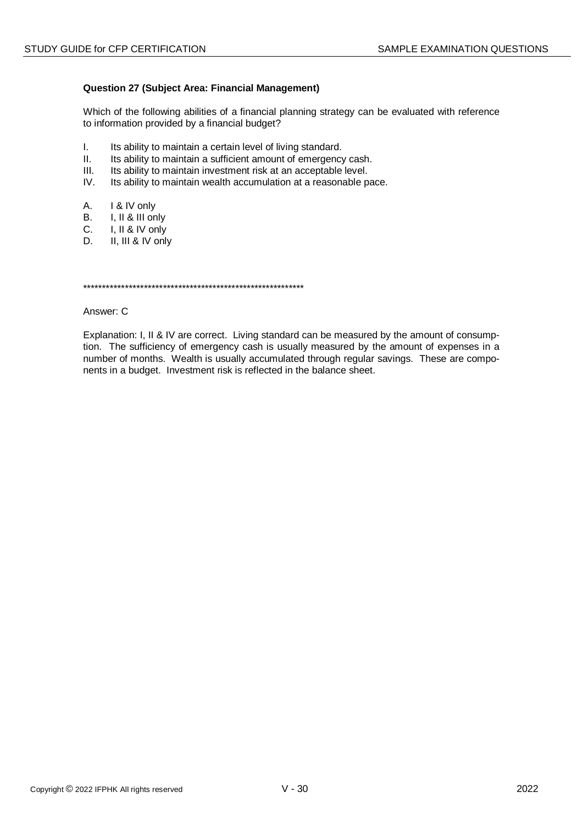#### **Question 27 (Subject Area: Financial Management)**

Which of the following abilities of a financial planning strategy can be evaluated with reference to information provided by a financial budget?

- $\mathbf{L}$ Its ability to maintain a certain level of living standard.
- $II.$ Its ability to maintain a sufficient amount of emergency cash.
- $III.$ Its ability to maintain investment risk at an acceptable level.
- Its ability to maintain wealth accumulation at a reasonable pace.  $IV.$
- А. I & IV only
- $B<sub>1</sub>$ I, II & III only
- $C_{1}$ I, II & IV only
- II, III & IV only D.

Answer: C

Explanation: I, II & IV are correct. Living standard can be measured by the amount of consumption. The sufficiency of emergency cash is usually measured by the amount of expenses in a number of months. Wealth is usually accumulated through regular savings. These are components in a budget. Investment risk is reflected in the balance sheet.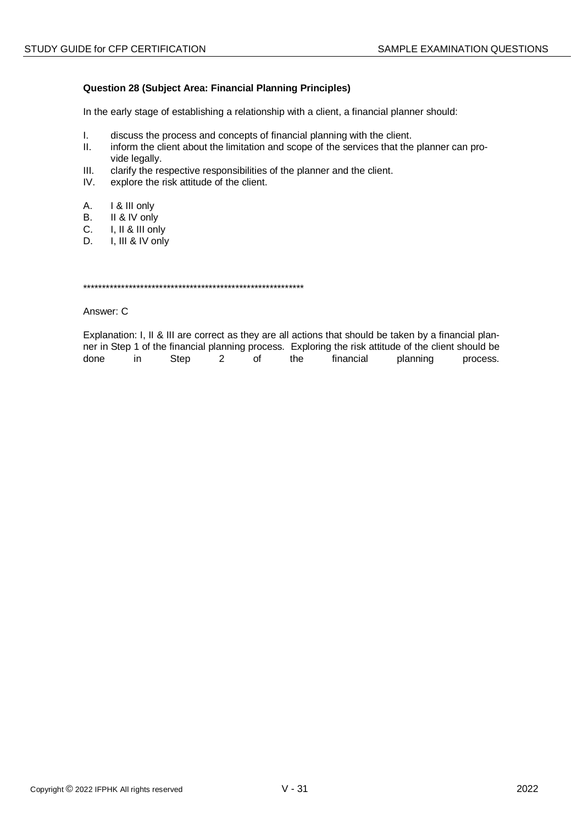## **Question 28 (Subject Area: Financial Planning Principles)**

In the early stage of establishing a relationship with a client, a financial planner should:

- $\mathbf{L}$ discuss the process and concepts of financial planning with the client.
- $II.$ inform the client about the limitation and scope of the services that the planner can provide legally.
- $III.$ clarify the respective responsibilities of the planner and the client.
- explore the risk attitude of the client.  $IV.$
- I & III only А.
- $B<sub>1</sub>$ II & IV only
- $C_{-}$ I, II & III only
- I, III & IV only D.

Answer: C

Explanation: I, II & III are correct as they are all actions that should be taken by a financial planner in Step 1 of the financial planning process. Exploring the risk attitude of the client should be done  $in$ Step  $\overline{2}$  $of$ the financial planning process.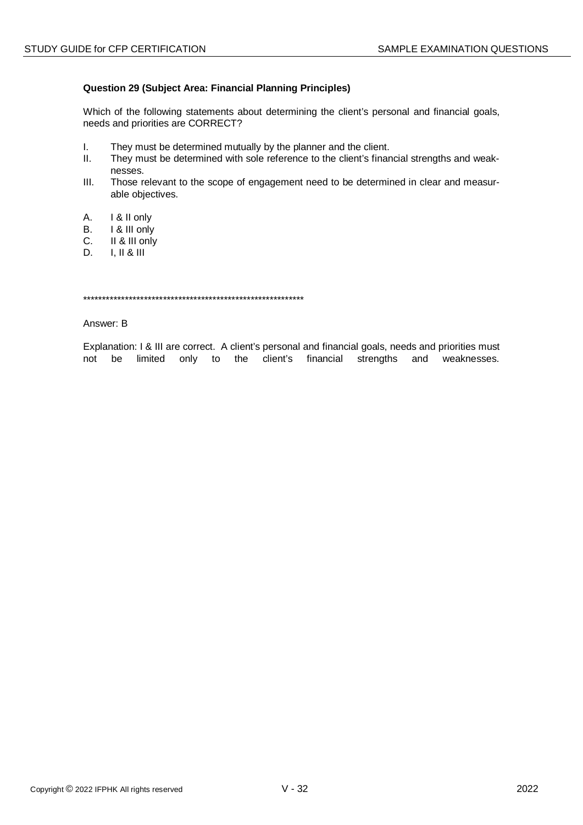## **Question 29 (Subject Area: Financial Planning Principles)**

Which of the following statements about determining the client's personal and financial goals, needs and priorities are CORRECT?

- $\mathbf{I}$ They must be determined mutually by the planner and the client.
- $II.$ They must be determined with sole reference to the client's financial strengths and weaknesses.
- $III.$ Those relevant to the scope of engagement need to be determined in clear and measurable objectives.
- A. I & II only
- **B.** I & III only
- II & III only C.
- D.  $I, II & II$

Answer: B

Explanation: I & III are correct. A client's personal and financial goals, needs and priorities must not be limited only to the client's financial strengths and weaknesses.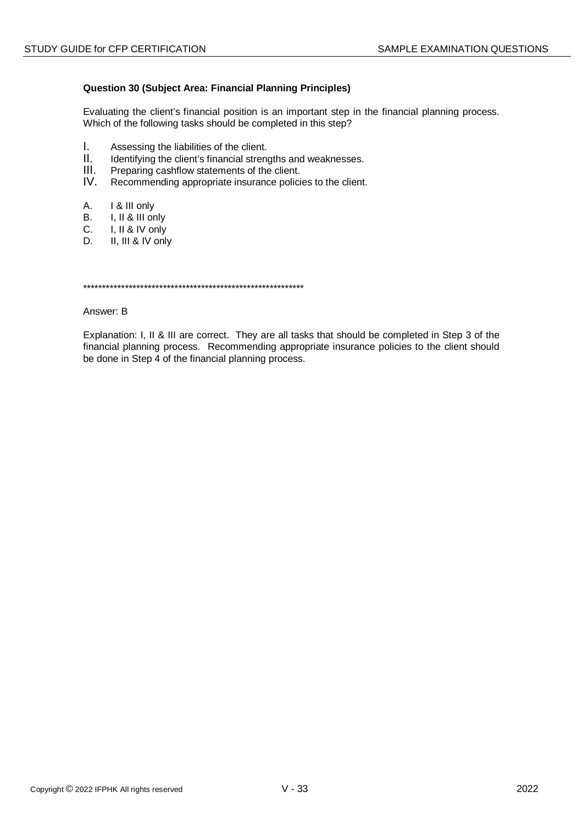## **Question 30 (Subject Area: Financial Planning Principles)**

Evaluating the client's financial position is an important step in the financial planning process. Which of the following tasks should be completed in this step?

- $\mathbf{L}$ Assessing the liabilities of the client.
- $II.$ Identifying the client's financial strengths and weaknesses.
- $III.$ Preparing cashflow statements of the client.
- $IV_{-}$ Recommending appropriate insurance policies to the client.
- A. I & III only
- $B<sub>1</sub>$ I, II & III only
- $C_{1}$ I, II & IV only
- II, III & IV only D.

#### Answer: B

Explanation: I, II & III are correct. They are all tasks that should be completed in Step 3 of the financial planning process. Recommending appropriate insurance policies to the client should be done in Step 4 of the financial planning process.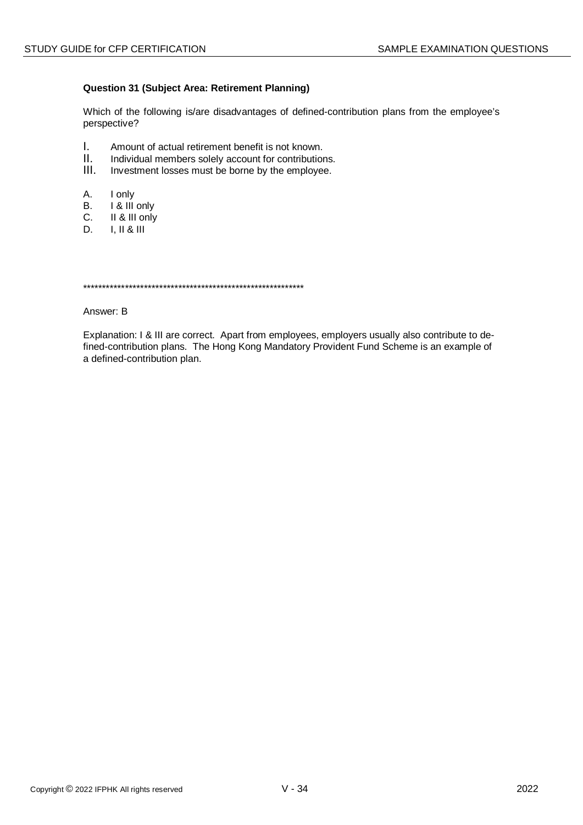## **Question 31 (Subject Area: Retirement Planning)**

Which of the following is/are disadvantages of defined-contribution plans from the employee's perspective?

- $\mathbf{L}$ Amount of actual retirement benefit is not known.
- $\Pi$ . Individual members solely account for contributions.
- $III.$ Investment losses must be borne by the employee.
- A. I only
- I & III only В.
- $C_{\cdot}$ II & III only
- D.  $I, II & II$

#### Answer: B

Explanation: I & III are correct. Apart from employees, employers usually also contribute to defined-contribution plans. The Hong Kong Mandatory Provident Fund Scheme is an example of a defined-contribution plan.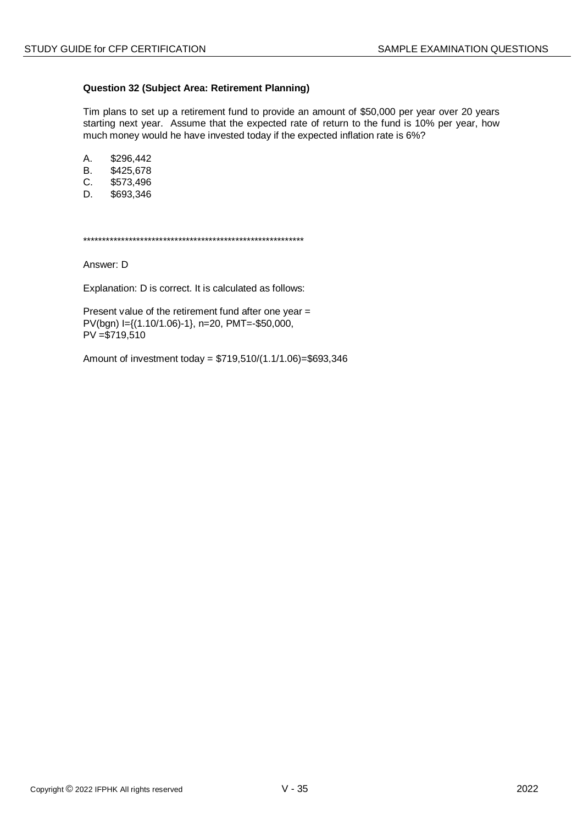## **Question 32 (Subject Area: Retirement Planning)**

Tim plans to set up a retirement fund to provide an amount of \$50,000 per year over 20 years starting next year. Assume that the expected rate of return to the fund is 10% per year, how much money would he have invested today if the expected inflation rate is 6%?

A. \$296,442

- B. \$425,678<br>C. \$573,496 \$573,496
- D. \$693,346

\*\*\*\*\*\*\*\*\*\*\*\*\*\*\*\*\*\*\*\*\*\*\*\*\*\*\*\*\*\*\*\*\*\*\*\*\*\*\*\*\*\*\*\*\*\*\*\*\*\*\*\*\*\*\*\*\*\*

Answer: D

Explanation: D is correct. It is calculated as follows:

Present value of the retirement fund after one year = PV(bgn) I={(1.10/1.06)-1}, n=20, PMT=-\$50,000, PV =\$719,510

Amount of investment today = \$719,510/(1.1/1.06)=\$693,346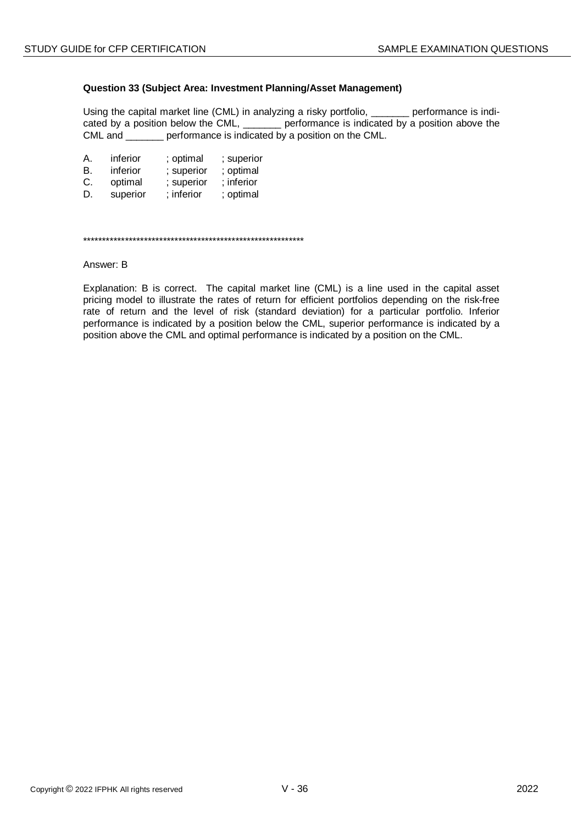#### **Question 33 (Subject Area: Investment Planning/Asset Management)**

Using the capital market line (CML) in analyzing a risky portfolio, \_\_\_\_\_\_\_ performance is indicated by a position below the CML, experience is indicated by a position above the CML and \_\_\_\_\_\_\_ performance is indicated by a position on the CML.

| А. | inferior | ; optimal  | ; superior |
|----|----------|------------|------------|
| В. | inferior | ; superior | ; optimal  |
| C. | optimal  | ; superior | ; inferior |
| D. | superior | ; inferior | ; optimal  |

\*\*\*\*\*\*\*\*\*\*\*\*\*\*\*\*\*\*\*\*\*\*\*\*\*\*\*\*\*\*\*\*\*\*\*\*\*\*\*\*\*\*\*\*\*\*\*\*\*\*\*\*\*\*\*\*\*\*

#### Answer: B

Explanation: B is correct. The capital market line (CML) is a line used in the capital asset pricing model to illustrate the rates of return for efficient portfolios depending on the risk-free rate of return and the level of risk (standard deviation) for a particular portfolio. Inferior performance is indicated by a position below the CML, superior performance is indicated by a position above the CML and optimal performance is indicated by a position on the CML.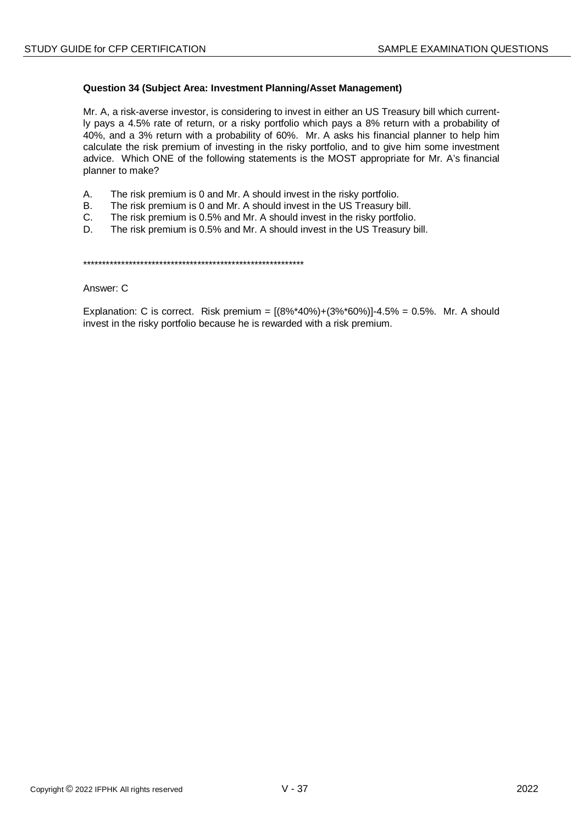## Question 34 (Subject Area: Investment Planning/Asset Management)

Mr. A, a risk-averse investor, is considering to invest in either an US Treasury bill which currently pays a 4.5% rate of return, or a risky portfolio which pays a 8% return with a probability of 40%, and a 3% return with a probability of 60%. Mr. A asks his financial planner to help him calculate the risk premium of investing in the risky portfolio, and to give him some investment advice. Which ONE of the following statements is the MOST appropriate for Mr. A's financial planner to make?

- Α. The risk premium is 0 and Mr. A should invest in the risky portfolio.
- The risk premium is 0 and Mr. A should invest in the US Treasury bill. **B.**
- $C_{1}$ The risk premium is 0.5% and Mr. A should invest in the risky portfolio.
- D. The risk premium is 0.5% and Mr. A should invest in the US Treasury bill.

Answer: C

Explanation: C is correct. Risk premium =  $[(8\%^*40\%)+(3\%^*60\%)]-4.5\% = 0.5\%$ . Mr. A should invest in the risky portfolio because he is rewarded with a risk premium.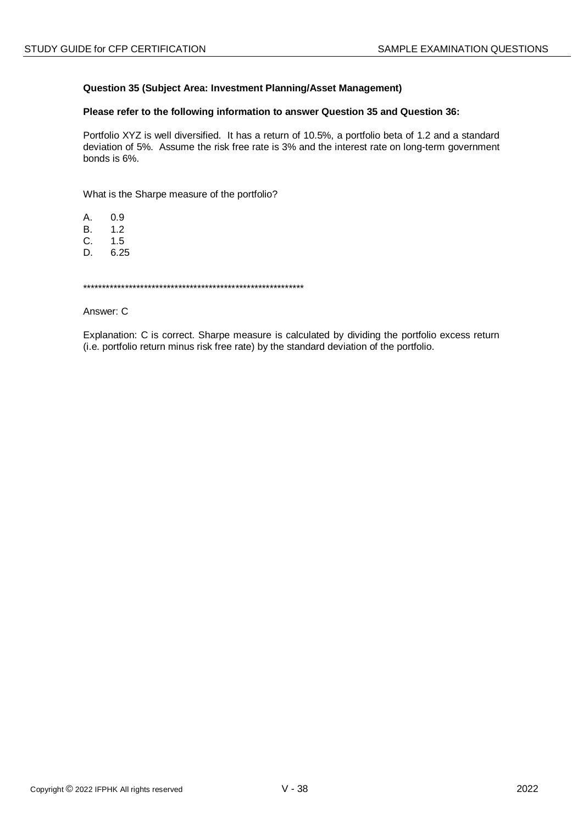## Question 35 (Subject Area: Investment Planning/Asset Management)

## Please refer to the following information to answer Question 35 and Question 36:

Portfolio XYZ is well diversified. It has a return of 10.5%, a portfolio beta of 1.2 and a standard deviation of 5%. Assume the risk free rate is 3% and the interest rate on long-term government bonds is 6%.

What is the Sharpe measure of the portfolio?

 $A<sub>1</sub>$  $0.9$ 

 $1.2$  $B<sub>r</sub>$ 

C.  $1.5$ 

D. 6.25

Answer: C

Explanation: C is correct. Sharpe measure is calculated by dividing the portfolio excess return (i.e. portfolio return minus risk free rate) by the standard deviation of the portfolio.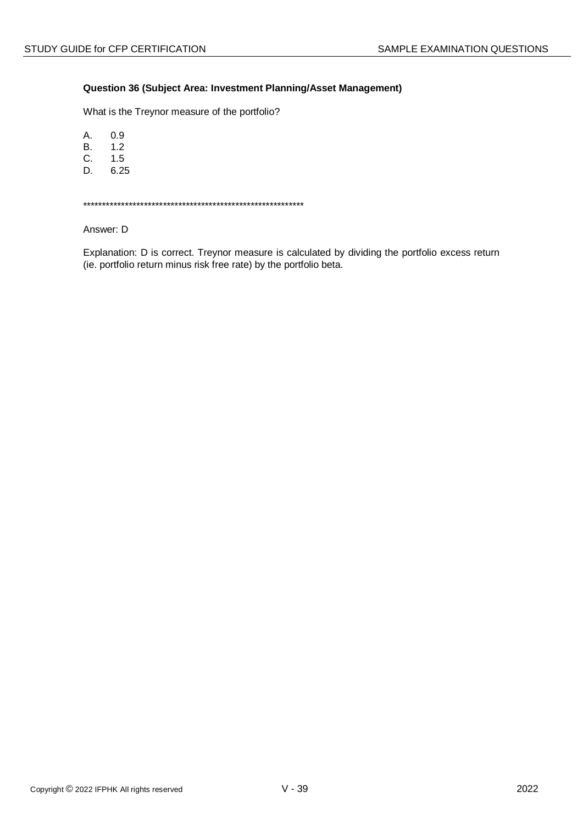## Question 36 (Subject Area: Investment Planning/Asset Management)

What is the Treynor measure of the portfolio?

 $A<sub>1</sub>$  $0.9$ 

 $B.$  $1.2$ 

C.  $1.5$ 

6.25 D.

Answer: D

Explanation: D is correct. Treynor measure is calculated by dividing the portfolio excess return (ie. portfolio return minus risk free rate) by the portfolio beta.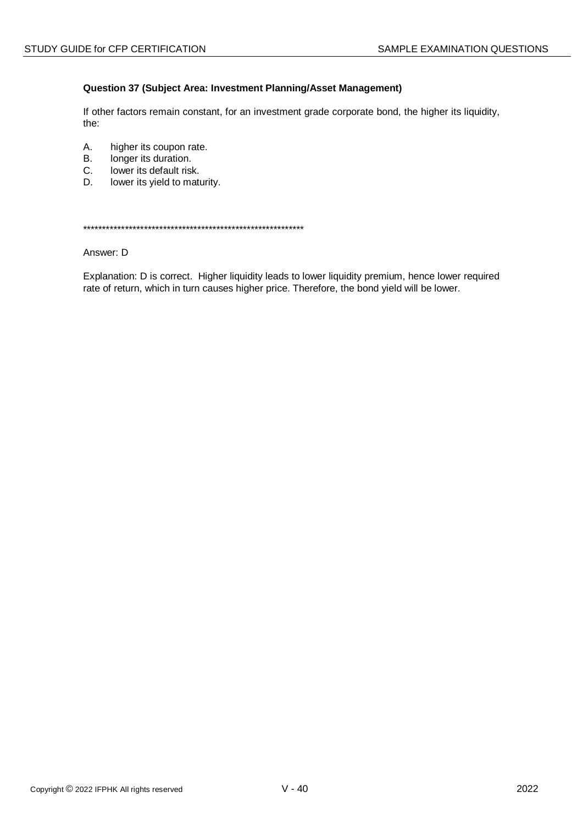## Question 37 (Subject Area: Investment Planning/Asset Management)

If other factors remain constant, for an investment grade corporate bond, the higher its liquidity, the:

- A. higher its coupon rate.
- **B.** longer its duration.
- C. lower its default risk.
- D. lower its yield to maturity.

#### Answer: D

Explanation: D is correct. Higher liquidity leads to lower liquidity premium, hence lower required rate of return, which in turn causes higher price. Therefore, the bond yield will be lower.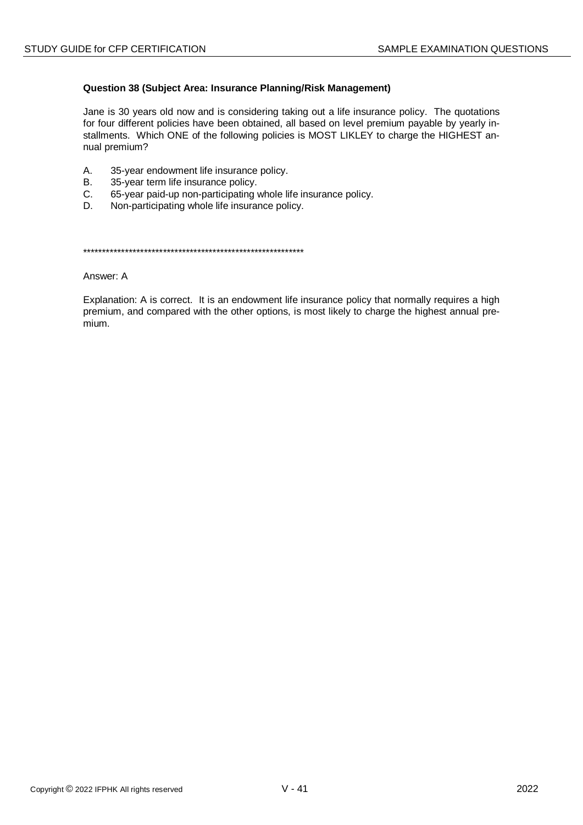## Question 38 (Subject Area: Insurance Planning/Risk Management)

Jane is 30 years old now and is considering taking out a life insurance policy. The quotations for four different policies have been obtained, all based on level premium payable by yearly installments. Which ONE of the following policies is MOST LIKLEY to charge the HIGHEST annual premium?

- $A<sub>1</sub>$ 35-year endowment life insurance policy.
- $\mathsf{B}$ 35-year term life insurance policy.
- C. 65-year paid-up non-participating whole life insurance policy.
- Non-participating whole life insurance policy. D.

Answer: A

Explanation: A is correct. It is an endowment life insurance policy that normally requires a high premium, and compared with the other options, is most likely to charge the highest annual premium.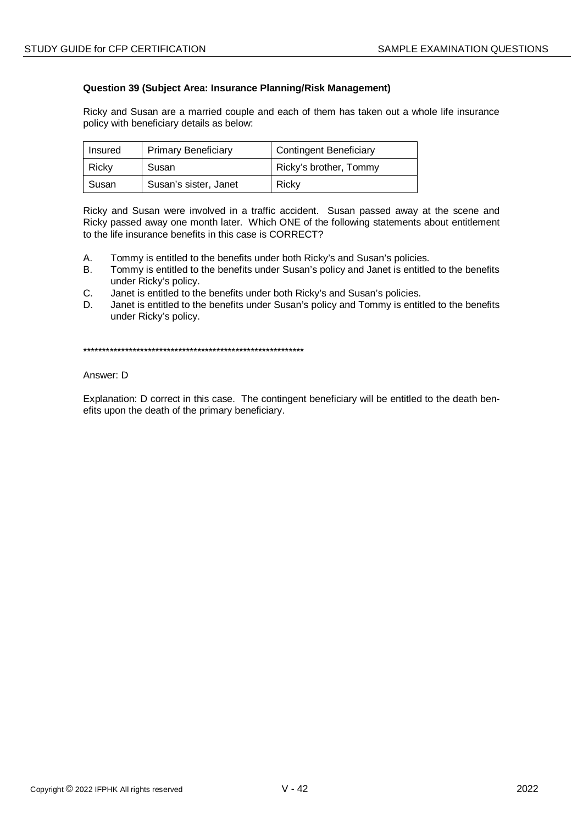## **Question 39 (Subject Area: Insurance Planning/Risk Management)**

Ricky and Susan are a married couple and each of them has taken out a whole life insurance policy with beneficiary details as below:

| Insured | <b>Primary Beneficiary</b> | <b>Contingent Beneficiary</b> |
|---------|----------------------------|-------------------------------|
| Ricky   | Susan                      | Ricky's brother, Tommy        |
| Susan   | Susan's sister, Janet      | Ricky                         |

Ricky and Susan were involved in a traffic accident. Susan passed away at the scene and Ricky passed away one month later. Which ONE of the following statements about entitlement to the life insurance benefits in this case is CORRECT?

- A. Tommy is entitled to the benefits under both Ricky's and Susan's policies.
- B. Tommy is entitled to the benefits under Susan's policy and Janet is entitled to the benefits under Ricky's policy.
- C. Janet is entitled to the benefits under both Ricky's and Susan's policies.
- D. Janet is entitled to the benefits under Susan's policy and Tommy is entitled to the benefits under Ricky's policy.

\*\*\*\*\*\*\*\*\*\*\*\*\*\*\*\*\*\*\*\*\*\*\*\*\*\*\*\*\*\*\*\*\*\*\*\*\*\*\*\*\*\*\*\*\*\*\*\*\*\*\*\*\*\*\*\*\*\*

### Answer: D

Explanation: D correct in this case. The contingent beneficiary will be entitled to the death benefits upon the death of the primary beneficiary.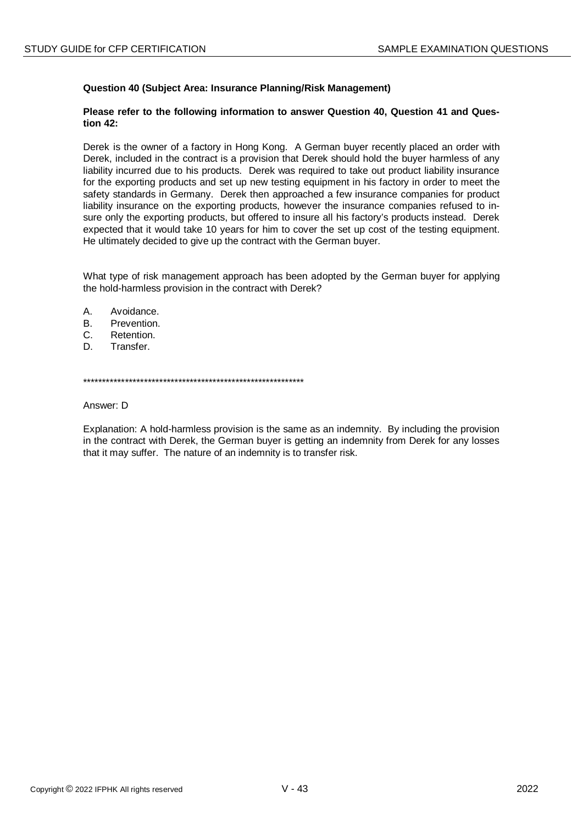## **Question 40 (Subject Area: Insurance Planning/Risk Management)**

### **Please refer to the following information to answer Question 40, Question 41 and Question 42:**

Derek is the owner of a factory in Hong Kong. A German buyer recently placed an order with Derek, included in the contract is a provision that Derek should hold the buyer harmless of any liability incurred due to his products. Derek was required to take out product liability insurance for the exporting products and set up new testing equipment in his factory in order to meet the safety standards in Germany. Derek then approached a few insurance companies for product liability insurance on the exporting products, however the insurance companies refused to insure only the exporting products, but offered to insure all his factory's products instead. Derek expected that it would take 10 years for him to cover the set up cost of the testing equipment. He ultimately decided to give up the contract with the German buyer.

What type of risk management approach has been adopted by the German buyer for applying the hold-harmless provision in the contract with Derek?

- A. Avoidance.
- B. Prevention.
- C. Retention.
- D. Transfer.

\*\*\*\*\*\*\*\*\*\*\*\*\*\*\*\*\*\*\*\*\*\*\*\*\*\*\*\*\*\*\*\*\*\*\*\*\*\*\*\*\*\*\*\*\*\*\*\*\*\*\*\*\*\*\*\*\*\*

Answer: D

Explanation: A hold-harmless provision is the same as an indemnity. By including the provision in the contract with Derek, the German buyer is getting an indemnity from Derek for any losses that it may suffer. The nature of an indemnity is to transfer risk.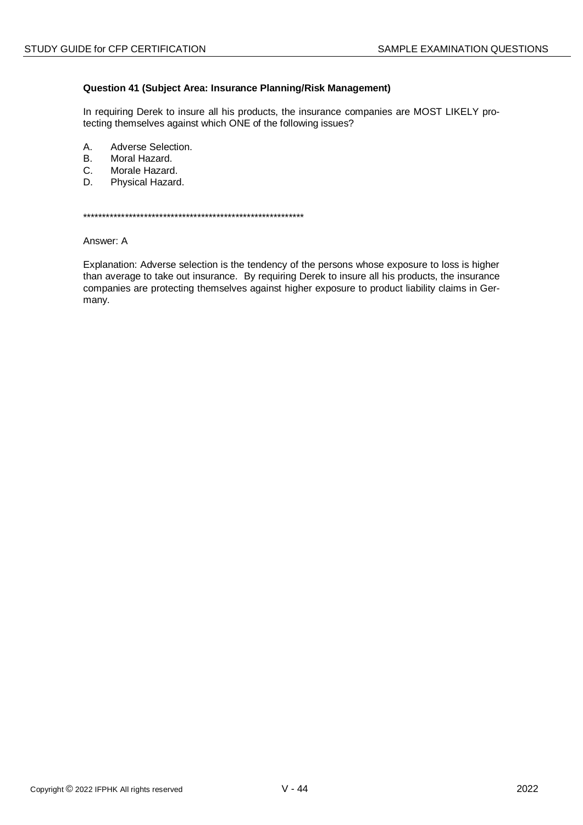## Question 41 (Subject Area: Insurance Planning/Risk Management)

In requiring Derek to insure all his products, the insurance companies are MOST LIKELY protecting themselves against which ONE of the following issues?

- A. Adverse Selection.
- Moral Hazard. **B.**
- Morale Hazard.  $C<sub>1</sub>$
- D. Physical Hazard.

Answer: A

Explanation: Adverse selection is the tendency of the persons whose exposure to loss is higher than average to take out insurance. By requiring Derek to insure all his products, the insurance companies are protecting themselves against higher exposure to product liability claims in Germany.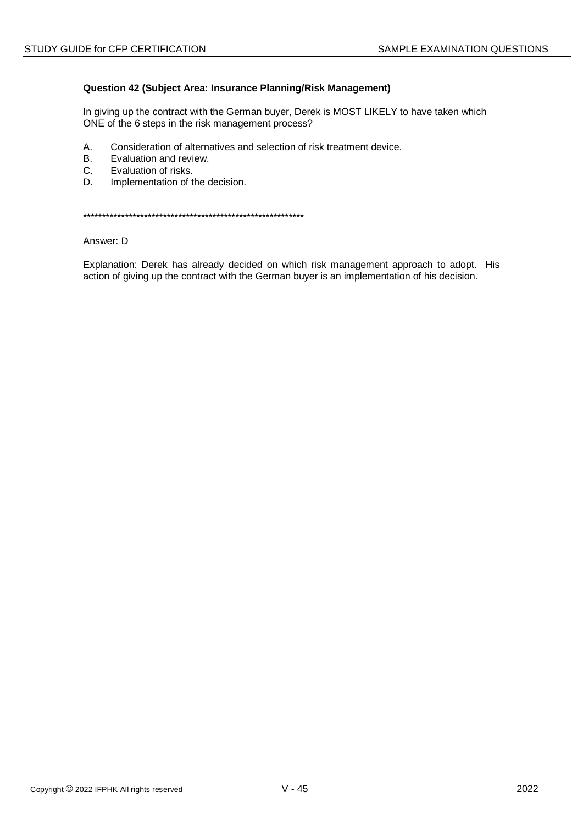## Question 42 (Subject Area: Insurance Planning/Risk Management)

In giving up the contract with the German buyer, Derek is MOST LIKELY to have taken which ONE of the 6 steps in the risk management process?

- A. Consideration of alternatives and selection of risk treatment device.
- Evaluation and review. **B.**
- $C<sub>1</sub>$ Evaluation of risks.
- D. Implementation of the decision.

Answer: D

Explanation: Derek has already decided on which risk management approach to adopt. His action of giving up the contract with the German buyer is an implementation of his decision.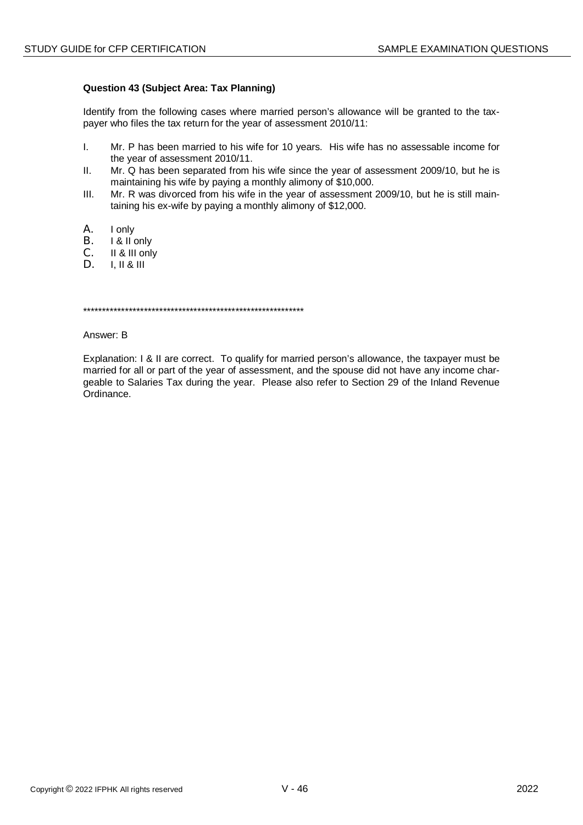## **Question 43 (Subject Area: Tax Planning)**

Identify from the following cases where married person's allowance will be granted to the taxpayer who files the tax return for the year of assessment 2010/11:

- I. Mr. P has been married to his wife for 10 years. His wife has no assessable income for the year of assessment 2010/11.
- II. Mr. Q has been separated from his wife since the year of assessment 2009/10, but he is maintaining his wife by paying a monthly alimony of \$10,000.
- III. Mr. R was divorced from his wife in the year of assessment 2009/10, but he is still maintaining his ex-wife by paying a monthly alimony of \$12,000.
- A. I only
- B. I & II only
- C. II & III only<br>D. III & III
- D. I, II & III

\*\*\*\*\*\*\*\*\*\*\*\*\*\*\*\*\*\*\*\*\*\*\*\*\*\*\*\*\*\*\*\*\*\*\*\*\*\*\*\*\*\*\*\*\*\*\*\*\*\*\*\*\*\*\*\*\*\*

Answer: B

Explanation: I & II are correct. To qualify for married person's allowance, the taxpayer must be married for all or part of the year of assessment, and the spouse did not have any income chargeable to Salaries Tax during the year. Please also refer to Section 29 of the Inland Revenue Ordinance.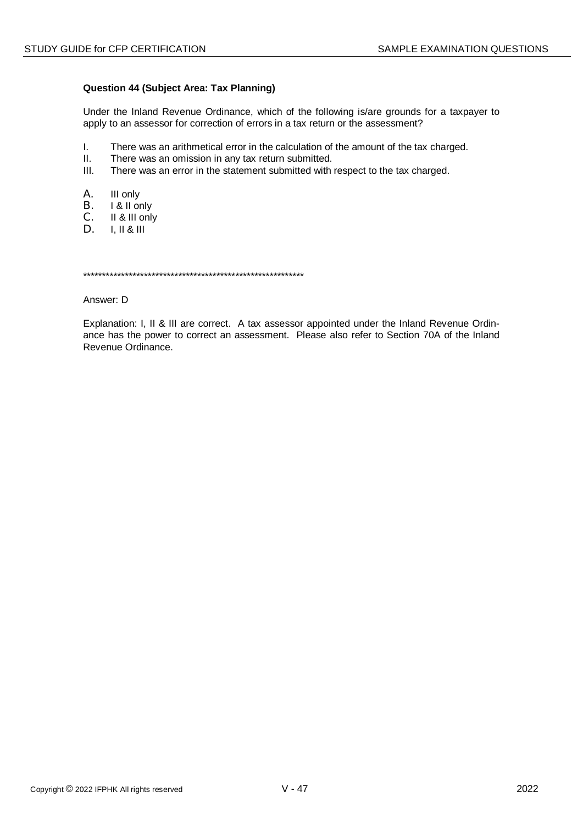## **Question 44 (Subject Area: Tax Planning)**

Under the Inland Revenue Ordinance, which of the following is/are grounds for a taxpayer to apply to an assessor for correction of errors in a tax return or the assessment?

- $\mathbf{L}$ There was an arithmetical error in the calculation of the amount of the tax charged.
- $II.$ There was an omission in any tax return submitted.
- $III.$ There was an error in the statement submitted with respect to the tax charged.
- Α. III only
- **B.** I & II only
- $C_{-}$ II & III only
- D.  $I, II & III$

Answer: D

Explanation: I, II & III are correct. A tax assessor appointed under the Inland Revenue Ordinance has the power to correct an assessment. Please also refer to Section 70A of the Inland Revenue Ordinance.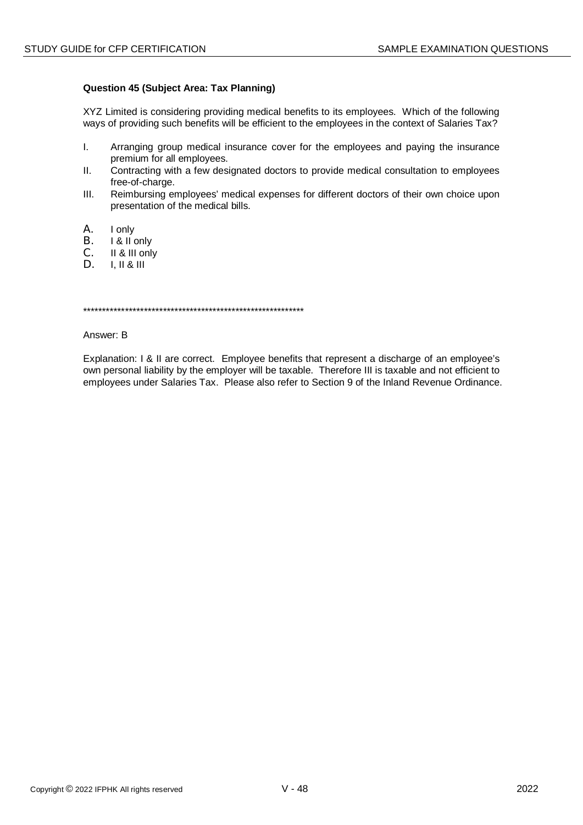## **Question 45 (Subject Area: Tax Planning)**

XYZ Limited is considering providing medical benefits to its employees. Which of the following ways of providing such benefits will be efficient to the employees in the context of Salaries Tax?

- I. Arranging group medical insurance cover for the employees and paying the insurance premium for all employees.
- II. Contracting with a few designated doctors to provide medical consultation to employees free-of-charge.
- III. Reimbursing employees' medical expenses for different doctors of their own choice upon presentation of the medical bills.
- A. I only
- B. I & II only
- C. II & III only<br>D. III & III
- D. I, II & III

\*\*\*\*\*\*\*\*\*\*\*\*\*\*\*\*\*\*\*\*\*\*\*\*\*\*\*\*\*\*\*\*\*\*\*\*\*\*\*\*\*\*\*\*\*\*\*\*\*\*\*\*\*\*\*\*\*\*

Answer: B

Explanation: I & II are correct. Employee benefits that represent a discharge of an employee's own personal liability by the employer will be taxable. Therefore III is taxable and not efficient to employees under Salaries Tax. Please also refer to Section 9 of the Inland Revenue Ordinance.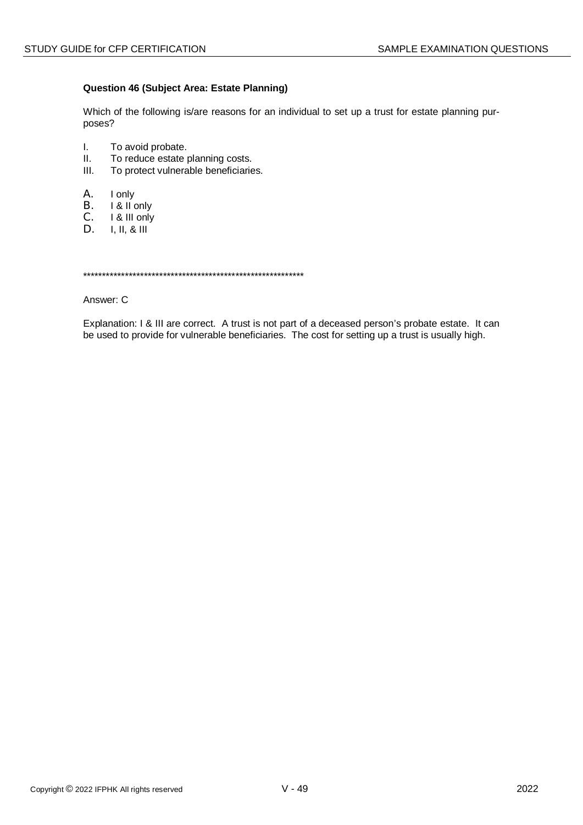## **Question 46 (Subject Area: Estate Planning)**

Which of the following is/are reasons for an individual to set up a trust for estate planning purposes?

- I. To avoid probate.
- II. To reduce estate planning costs.
- III. To protect vulnerable beneficiaries.
- A. I only
- B. I & II only
- C. I & III only<br>D. I. II. & III
- D. I, II, & III

\*\*\*\*\*\*\*\*\*\*\*\*\*\*\*\*\*\*\*\*\*\*\*\*\*\*\*\*\*\*\*\*\*\*\*\*\*\*\*\*\*\*\*\*\*\*\*\*\*\*\*\*\*\*\*\*\*\*

Answer: C

Explanation: I & III are correct. A trust is not part of a deceased person's probate estate. It can be used to provide for vulnerable beneficiaries. The cost for setting up a trust is usually high.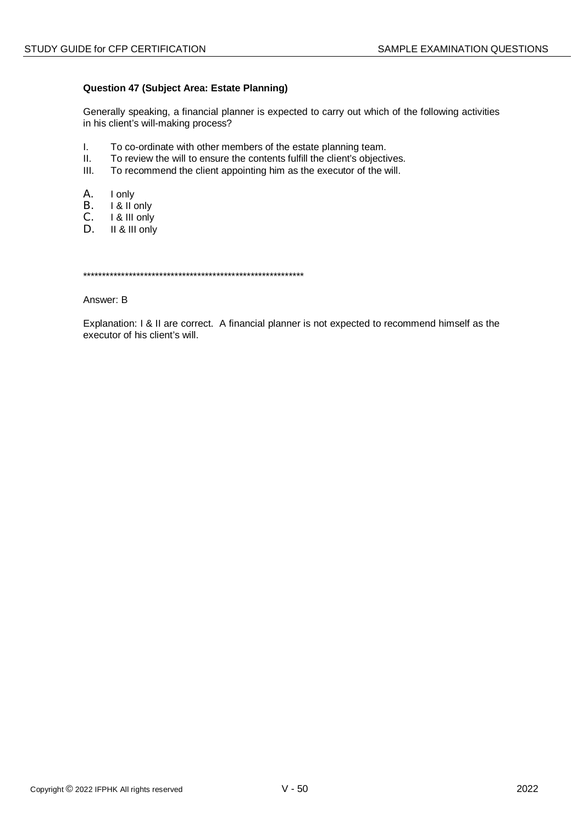## **Question 47 (Subject Area: Estate Planning)**

Generally speaking, a financial planner is expected to carry out which of the following activities in his client's will-making process?

- I. To co-ordinate with other members of the estate planning team.
- II. To review the will to ensure the contents fulfill the client's objectives.
- III. To recommend the client appointing him as the executor of the will.
- A. I only
- B. I & II only
- C. I & III only<br>D. II & III only
- II & III only

\*\*\*\*\*\*\*\*\*\*\*\*\*\*\*\*\*\*\*\*\*\*\*\*\*\*\*\*\*\*\*\*\*\*\*\*\*\*\*\*\*\*\*\*\*\*\*\*\*\*\*\*\*\*\*\*\*\*

Answer: B

Explanation: I & II are correct. A financial planner is not expected to recommend himself as the executor of his client's will.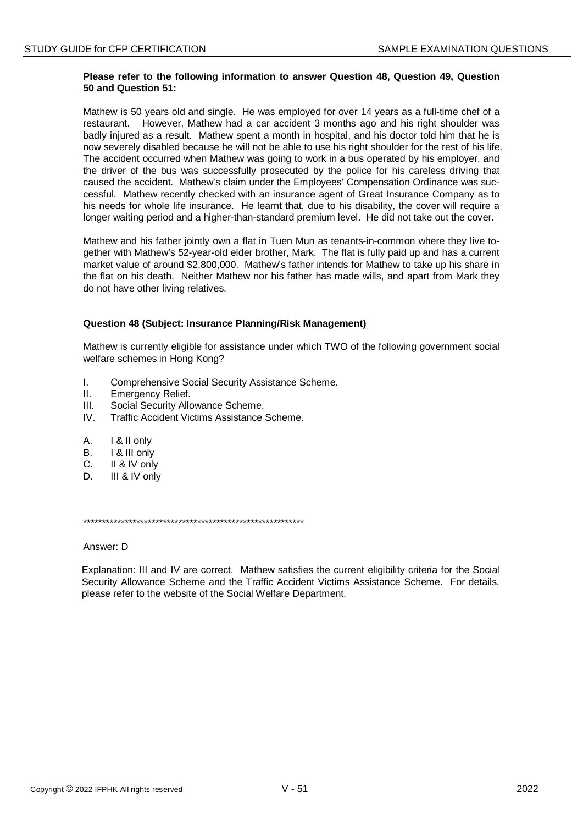## **Please refer to the following information to answer Question 48, Question 49, Question 50 and Question 51:**

Mathew is 50 years old and single. He was employed for over 14 years as a full-time chef of a restaurant. However, Mathew had a car accident 3 months ago and his right shoulder was badly injured as a result. Mathew spent a month in hospital, and his doctor told him that he is now severely disabled because he will not be able to use his right shoulder for the rest of his life. The accident occurred when Mathew was going to work in a bus operated by his employer, and the driver of the bus was successfully prosecuted by the police for his careless driving that caused the accident. Mathew's claim under the Employees' Compensation Ordinance was successful. Mathew recently checked with an insurance agent of Great Insurance Company as to his needs for whole life insurance. He learnt that, due to his disability, the cover will require a longer waiting period and a higher-than-standard premium level. He did not take out the cover.

Mathew and his father jointly own a flat in Tuen Mun as tenants-in-common where they live together with Mathew's 52-year-old elder brother, Mark. The flat is fully paid up and has a current market value of around \$2,800,000. Mathew's father intends for Mathew to take up his share in the flat on his death. Neither Mathew nor his father has made wills, and apart from Mark they do not have other living relatives.

## **Question 48 (Subject: Insurance Planning/Risk Management)**

Mathew is currently eligible for assistance under which TWO of the following government social welfare schemes in Hong Kong?

- I. Comprehensive Social Security Assistance Scheme.
- II. Emergency Relief.
- III. Social Security Allowance Scheme.
- IV. Traffic Accident Victims Assistance Scheme.
- A. I & II only
- B. I & III only
- C. II & IV only
- D. III & IV only

\*\*\*\*\*\*\*\*\*\*\*\*\*\*\*\*\*\*\*\*\*\*\*\*\*\*\*\*\*\*\*\*\*\*\*\*\*\*\*\*\*\*\*\*\*\*\*\*\*\*\*\*\*\*\*\*\*\*

Answer: D

Explanation: III and IV are correct. Mathew satisfies the current eligibility criteria for the Social Security Allowance Scheme and the Traffic Accident Victims Assistance Scheme. For details, please refer to the website of the Social Welfare Department.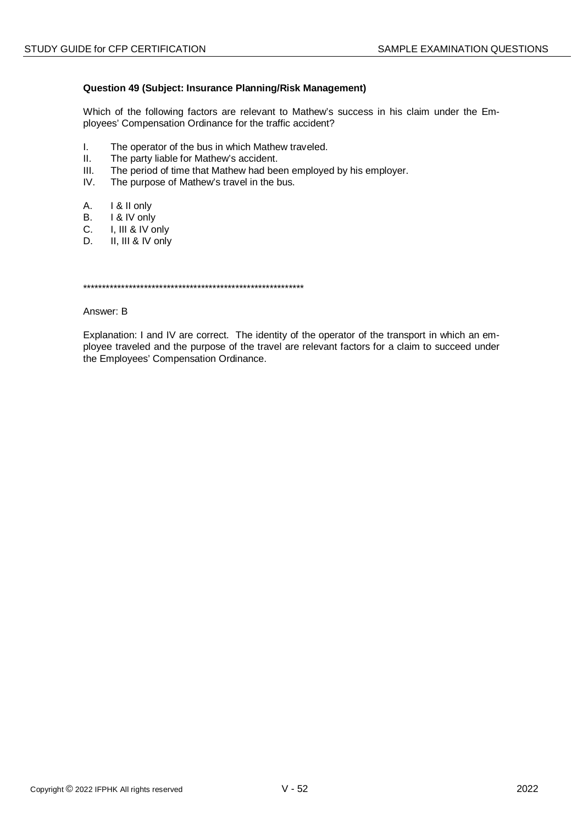## Question 49 (Subject: Insurance Planning/Risk Management)

Which of the following factors are relevant to Mathew's success in his claim under the Employees' Compensation Ordinance for the traffic accident?

- $\mathbf{L}$ The operator of the bus in which Mathew traveled.
- $II.$ The party liable for Mathew's accident.
- $III.$ The period of time that Mathew had been employed by his employer.
- $IV.$ The purpose of Mathew's travel in the bus.
- А. I & II only
- $B<sub>1</sub>$ I & IV only
- $C_{-}$ I, III & IV only
- II, III & IV only D.

#### Answer: B

Explanation: I and IV are correct. The identity of the operator of the transport in which an employee traveled and the purpose of the travel are relevant factors for a claim to succeed under the Employees' Compensation Ordinance.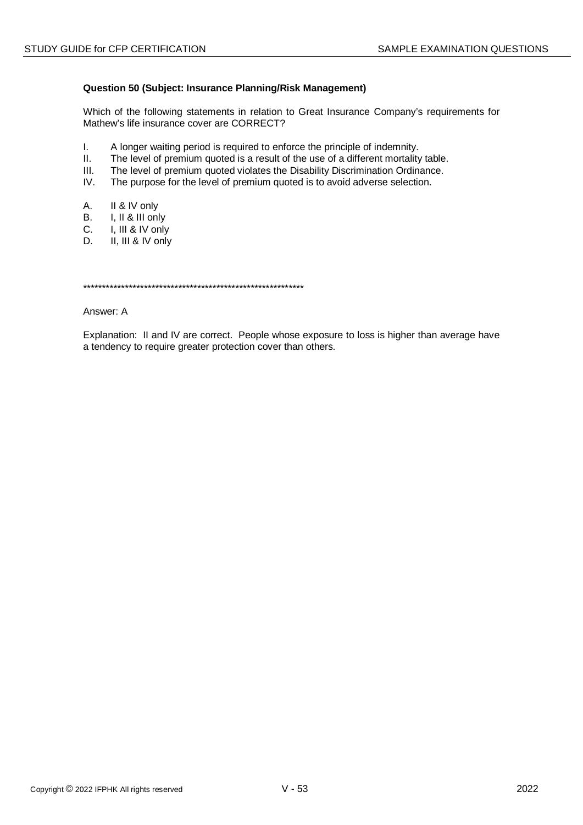## **Question 50 (Subject: Insurance Planning/Risk Management)**

Which of the following statements in relation to Great Insurance Company's requirements for Mathew's life insurance cover are CORRECT?

- I. A longer waiting period is required to enforce the principle of indemnity.
- II. The level of premium quoted is a result of the use of a different mortality table.
- III. The level of premium quoted violates the Disability Discrimination Ordinance.<br>IV. The purpose for the level of premium quoted is to avoid adverse selection.
- The purpose for the level of premium quoted is to avoid adverse selection.
- A. II & IV only
- B. I, II & III only
- C. I, III & IV only
- D. II, III & IV only

\*\*\*\*\*\*\*\*\*\*\*\*\*\*\*\*\*\*\*\*\*\*\*\*\*\*\*\*\*\*\*\*\*\*\*\*\*\*\*\*\*\*\*\*\*\*\*\*\*\*\*\*\*\*\*\*\*\*

Answer: A

Explanation: II and IV are correct. People whose exposure to loss is higher than average have a tendency to require greater protection cover than others.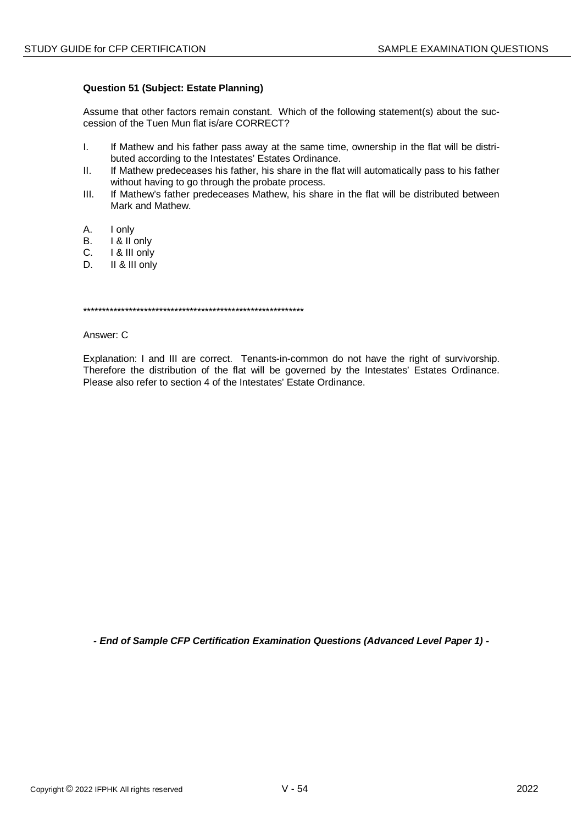## **Question 51 (Subject: Estate Planning)**

Assume that other factors remain constant. Which of the following statement(s) about the succession of the Tuen Mun flat is/are CORRECT?

- $\mathbf{L}$ If Mathew and his father pass away at the same time, ownership in the flat will be distributed according to the Intestates' Estates Ordinance.
- $II.$ If Mathew predeceases his father, his share in the flat will automatically pass to his father without having to go through the probate process.
- If Mathew's father predeceases Mathew, his share in the flat will be distributed between  $III.$ Mark and Mathew.
- A. I only
- I & II only В.
- I & III only  $C_{1}$
- $\mathsf{D}$ II & III only

Answer: C

Explanation: I and III are correct. Tenants-in-common do not have the right of survivorship. Therefore the distribution of the flat will be governed by the Intestates' Estates Ordinance. Please also refer to section 4 of the Intestates' Estate Ordinance.

- End of Sample CFP Certification Examination Questions (Advanced Level Paper 1) -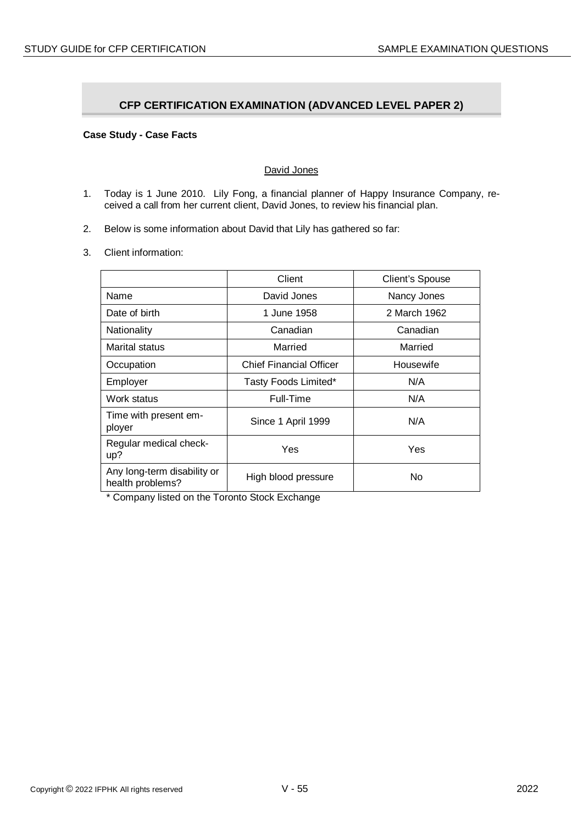# **CFP CERTIFICATION EXAMINATION (ADVANCED LEVEL PAPER 2)**

## **Case Study - Case Facts**

## David Jones

- 1. Today is 1 June 2010. Lily Fong, a financial planner of Happy Insurance Company, received a call from her current client, David Jones, to review his financial plan.
- 2. Below is some information about David that Lily has gathered so far:
- 3. Client information:

|                                                 | Client                         | <b>Client's Spouse</b> |
|-------------------------------------------------|--------------------------------|------------------------|
| Name                                            | David Jones                    | Nancy Jones            |
| Date of birth                                   | 1 June 1958                    | 2 March 1962           |
| Nationality                                     | Canadian                       | Canadian               |
| Marital status                                  | Married                        | Married                |
| Occupation                                      | <b>Chief Financial Officer</b> | Housewife              |
| Employer                                        | Tasty Foods Limited*           | N/A                    |
| Work status                                     | Full-Time                      | N/A                    |
| Time with present em-<br>ployer                 | Since 1 April 1999             | N/A                    |
| Regular medical check-<br>up?                   | Yes                            | Yes                    |
| Any long-term disability or<br>health problems? | High blood pressure            | No                     |

\* Company listed on the Toronto Stock Exchange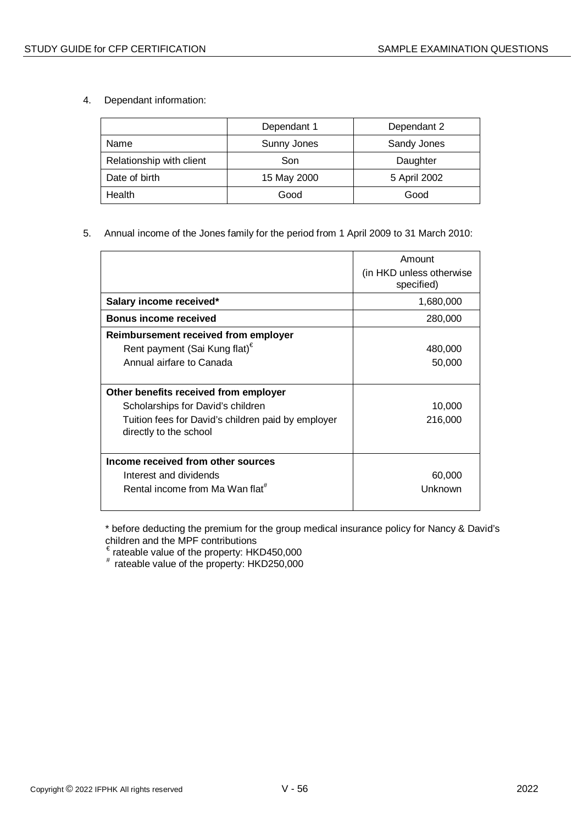4. Dependant information:

|                          | Dependant 1 | Dependant 2  |
|--------------------------|-------------|--------------|
| Name                     | Sunny Jones | Sandy Jones  |
| Relationship with client | Son         | Daughter     |
| Date of birth            | 15 May 2000 | 5 April 2002 |
| Health                   | Good        | Good         |

## 5. Annual income of the Jones family for the period from 1 April 2009 to 31 March 2010:

|                                                                                                                                                            | Amount<br>(in HKD unless otherwise)<br>specified) |
|------------------------------------------------------------------------------------------------------------------------------------------------------------|---------------------------------------------------|
| Salary income received*                                                                                                                                    | 1,680,000                                         |
| <b>Bonus income received</b>                                                                                                                               | 280,000                                           |
| Reimbursement received from employer<br>Rent payment (Sai Kung flat) <sup>€</sup><br>Annual airfare to Canada                                              | 480,000<br>50,000                                 |
| Other benefits received from employer<br>Scholarships for David's children<br>Tuition fees for David's children paid by employer<br>directly to the school | 10,000<br>216,000                                 |
| Income received from other sources<br>Interest and dividends<br>Rental income from Ma Wan flat <sup>#</sup>                                                | 60,000<br>Unknown                                 |

\* before deducting the premium for the group medical insurance policy for Nancy & David's children and the MPF contributions

 $\epsilon$  rateable value of the property: HKD450,000

# rateable value of the property: HKD250,000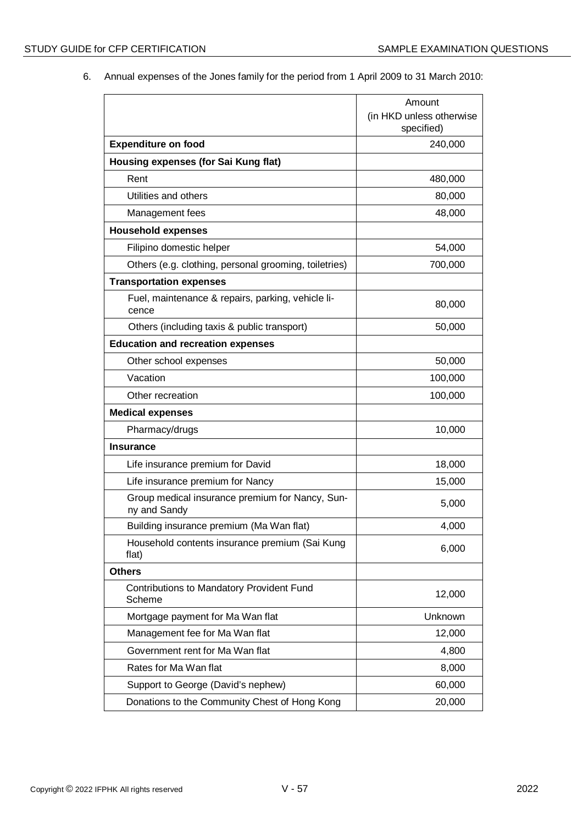6. Annual expenses of the Jones family for the period from 1 April 2009 to 31 March 2010:

|                                                                 | Amount                                 |
|-----------------------------------------------------------------|----------------------------------------|
|                                                                 | (in HKD unless otherwise<br>specified) |
| <b>Expenditure on food</b>                                      | 240,000                                |
| Housing expenses (for Sai Kung flat)                            |                                        |
| Rent                                                            | 480,000                                |
| Utilities and others                                            | 80,000                                 |
| Management fees                                                 | 48,000                                 |
| <b>Household expenses</b>                                       |                                        |
| Filipino domestic helper                                        | 54,000                                 |
| Others (e.g. clothing, personal grooming, toiletries)           | 700,000                                |
| <b>Transportation expenses</b>                                  |                                        |
| Fuel, maintenance & repairs, parking, vehicle li-<br>cence      | 80,000                                 |
| Others (including taxis & public transport)                     | 50,000                                 |
| <b>Education and recreation expenses</b>                        |                                        |
| Other school expenses                                           | 50,000                                 |
| Vacation                                                        | 100,000                                |
| Other recreation                                                | 100,000                                |
| <b>Medical expenses</b>                                         |                                        |
| Pharmacy/drugs                                                  | 10,000                                 |
| <b>Insurance</b>                                                |                                        |
| Life insurance premium for David                                | 18,000                                 |
| Life insurance premium for Nancy                                | 15,000                                 |
| Group medical insurance premium for Nancy, Sun-<br>ny and Sandy | 5,000                                  |
| Building insurance premium (Ma Wan flat)                        | 4,000                                  |
| Household contents insurance premium (Sai Kung<br>flat)         | 6,000                                  |
| <b>Others</b>                                                   |                                        |
| Contributions to Mandatory Provident Fund<br>Scheme             | 12,000                                 |
| Mortgage payment for Ma Wan flat                                | Unknown                                |
| Management fee for Ma Wan flat                                  | 12,000                                 |
| Government rent for Ma Wan flat                                 | 4,800                                  |
| Rates for Ma Wan flat                                           | 8,000                                  |
| Support to George (David's nephew)                              | 60,000                                 |
| Donations to the Community Chest of Hong Kong                   | 20,000                                 |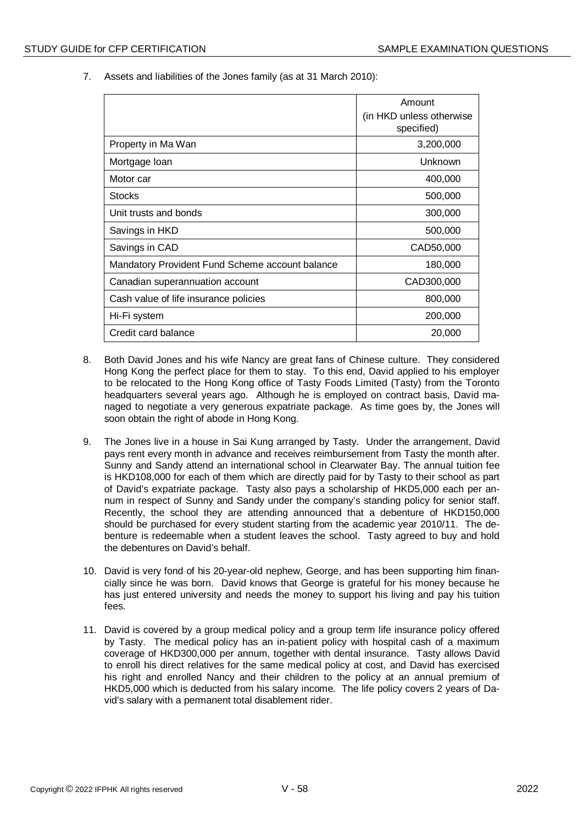7. Assets and liabilities of the Jones family (as at 31 March 2010):

|                                                 | Amount                                  |
|-------------------------------------------------|-----------------------------------------|
|                                                 | (in HKD unless otherwise)<br>specified) |
| Property in Ma Wan                              | 3,200,000                               |
| Mortgage Ioan                                   | Unknown                                 |
| Motor car                                       | 400,000                                 |
| <b>Stocks</b>                                   | 500,000                                 |
| Unit trusts and bonds                           | 300,000                                 |
| Savings in HKD                                  | 500,000                                 |
| Savings in CAD                                  | CAD50,000                               |
| Mandatory Provident Fund Scheme account balance | 180,000                                 |
| Canadian superannuation account                 | CAD300,000                              |
| Cash value of life insurance policies           | 800,000                                 |
| Hi-Fi system                                    | 200,000                                 |
| Credit card balance                             | 20,000                                  |

- 8. Both David Jones and his wife Nancy are great fans of Chinese culture. They considered Hong Kong the perfect place for them to stay. To this end, David applied to his employer to be relocated to the Hong Kong office of Tasty Foods Limited (Tasty) from the Toronto headquarters several years ago. Although he is employed on contract basis, David managed to negotiate a very generous expatriate package. As time goes by, the Jones will soon obtain the right of abode in Hong Kong.
- 9. The Jones live in a house in Sai Kung arranged by Tasty. Under the arrangement, David pays rent every month in advance and receives reimbursement from Tasty the month after. Sunny and Sandy attend an international school in Clearwater Bay. The annual tuition fee is HKD108,000 for each of them which are directly paid for by Tasty to their school as part of David's expatriate package. Tasty also pays a scholarship of HKD5,000 each per annum in respect of Sunny and Sandy under the company's standing policy for senior staff. Recently, the school they are attending announced that a debenture of HKD150,000 should be purchased for every student starting from the academic year 2010/11. The debenture is redeemable when a student leaves the school. Tasty agreed to buy and hold the debentures on David's behalf.
- 10. David is very fond of his 20-year-old nephew, George, and has been supporting him financially since he was born. David knows that George is grateful for his money because he has just entered university and needs the money to support his living and pay his tuition fees.
- 11. David is covered by a group medical policy and a group term life insurance policy offered by Tasty. The medical policy has an in-patient policy with hospital cash of a maximum coverage of HKD300,000 per annum, together with dental insurance. Tasty allows David to enroll his direct relatives for the same medical policy at cost, and David has exercised his right and enrolled Nancy and their children to the policy at an annual premium of HKD5,000 which is deducted from his salary income. The life policy covers 2 years of David's salary with a permanent total disablement rider.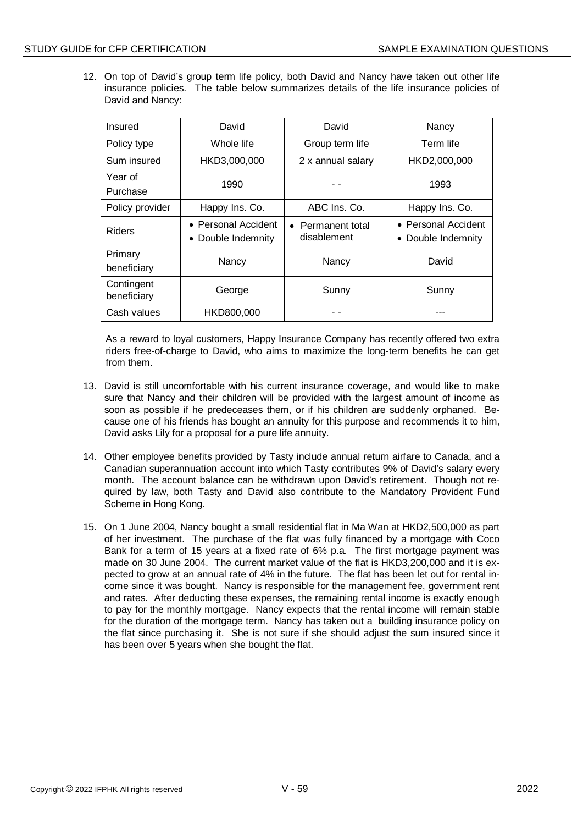12. On top of David's group term life policy, both David and Nancy have taken out other life insurance policies. The table below summarizes details of the life insurance policies of David and Nancy:

| Insured                   | David                                                | David                            | Nancy                                     |
|---------------------------|------------------------------------------------------|----------------------------------|-------------------------------------------|
| Policy type               | Whole life                                           | Group term life                  | Term life                                 |
| Sum insured               | HKD3,000,000                                         | 2 x annual salary                | HKD2,000,000                              |
| Year of<br>Purchase       | 1990                                                 |                                  | 1993                                      |
| Policy provider           | Happy Ins. Co.                                       | ABC Ins. Co.                     | Happy Ins. Co.                            |
| <b>Riders</b>             | • Personal Accident<br>Double Indemnity<br>$\bullet$ | • Permanent total<br>disablement | • Personal Accident<br>• Double Indemnity |
| Primary<br>beneficiary    | Nancy                                                | Nancy                            | David                                     |
| Contingent<br>beneficiary | George                                               | Sunny                            | Sunny                                     |
| Cash values               | HKD800,000                                           |                                  |                                           |

As a reward to loyal customers, Happy Insurance Company has recently offered two extra riders free-of-charge to David, who aims to maximize the long-term benefits he can get from them.

- 13. David is still uncomfortable with his current insurance coverage, and would like to make sure that Nancy and their children will be provided with the largest amount of income as soon as possible if he predeceases them, or if his children are suddenly orphaned. Because one of his friends has bought an annuity for this purpose and recommends it to him, David asks Lily for a proposal for a pure life annuity.
- 14. Other employee benefits provided by Tasty include annual return airfare to Canada, and a Canadian superannuation account into which Tasty contributes 9% of David's salary every month. The account balance can be withdrawn upon David's retirement. Though not required by law, both Tasty and David also contribute to the Mandatory Provident Fund Scheme in Hong Kong.
- 15. On 1 June 2004, Nancy bought a small residential flat in Ma Wan at HKD2,500,000 as part of her investment. The purchase of the flat was fully financed by a mortgage with Coco Bank for a term of 15 years at a fixed rate of 6% p.a. The first mortgage payment was made on 30 June 2004. The current market value of the flat is HKD3,200,000 and it is expected to grow at an annual rate of 4% in the future. The flat has been let out for rental income since it was bought. Nancy is responsible for the management fee, government rent and rates. After deducting these expenses, the remaining rental income is exactly enough to pay for the monthly mortgage. Nancy expects that the rental income will remain stable for the duration of the mortgage term. Nancy has taken out a building insurance policy on the flat since purchasing it. She is not sure if she should adjust the sum insured since it has been over 5 years when she bought the flat.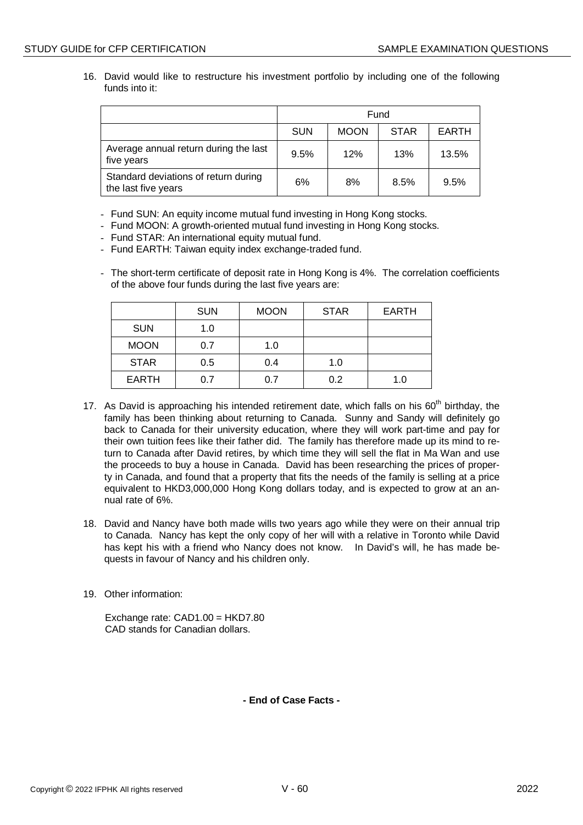16. David would like to restructure his investment portfolio by including one of the following funds into it:

|                                                             | Fund       |             |             |              |
|-------------------------------------------------------------|------------|-------------|-------------|--------------|
|                                                             | <b>SUN</b> | <b>MOON</b> | <b>STAR</b> | <b>EARTH</b> |
| Average annual return during the last<br>five years         | 9.5%       | 12%         | 13%         | 13.5%        |
| Standard deviations of return during<br>the last five years | 6%         | 8%          | 8.5%        | 9.5%         |

- Fund SUN: An equity income mutual fund investing in Hong Kong stocks.
- Fund MOON: A growth-oriented mutual fund investing in Hong Kong stocks.
- Fund STAR: An international equity mutual fund.
- Fund EARTH: Taiwan equity index exchange-traded fund.
- The short-term certificate of deposit rate in Hong Kong is 4%. The correlation coefficients of the above four funds during the last five years are:

|              | <b>SUN</b> | <b>MOON</b> | <b>STAR</b> | <b>EARTH</b> |
|--------------|------------|-------------|-------------|--------------|
| <b>SUN</b>   | 1.0        |             |             |              |
| <b>MOON</b>  | 0.7        | 1.0         |             |              |
| <b>STAR</b>  | 0.5        | 0.4         | 1.0         |              |
| <b>EARTH</b> | 0.7        | 0.7         | 0.2         | 1.0          |

- 17. As David is approaching his intended retirement date, which falls on his  $60<sup>th</sup>$  birthday, the family has been thinking about returning to Canada. Sunny and Sandy will definitely go back to Canada for their university education, where they will work part-time and pay for their own tuition fees like their father did. The family has therefore made up its mind to return to Canada after David retires, by which time they will sell the flat in Ma Wan and use the proceeds to buy a house in Canada. David has been researching the prices of property in Canada, and found that a property that fits the needs of the family is selling at a price equivalent to HKD3,000,000 Hong Kong dollars today, and is expected to grow at an annual rate of 6%.
- 18. David and Nancy have both made wills two years ago while they were on their annual trip to Canada. Nancy has kept the only copy of her will with a relative in Toronto while David has kept his with a friend who Nancy does not know. In David's will, he has made bequests in favour of Nancy and his children only.
- 19. Other information:

Exchange rate: CAD1.00 = HKD7.80 CAD stands for Canadian dollars.

**- End of Case Facts -**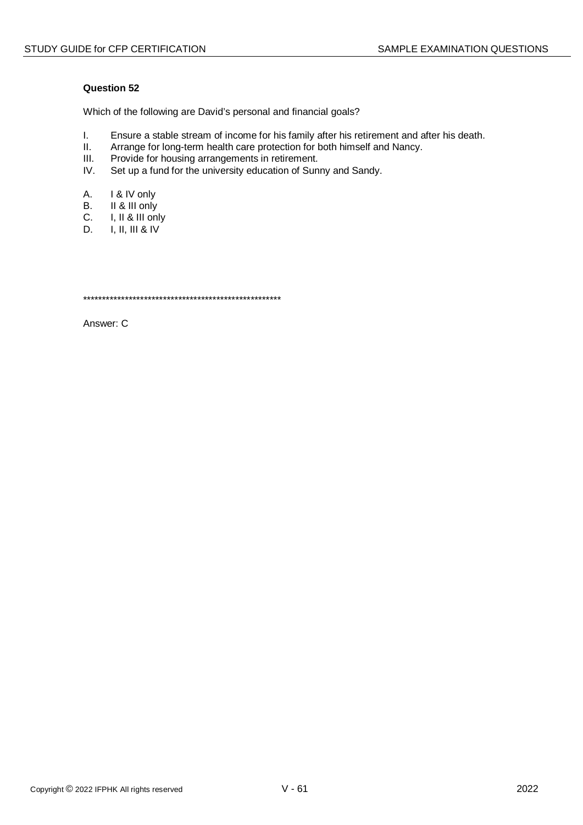Which of the following are David's personal and financial goals?

- I. Ensure a stable stream of income for his family after his retirement and after his death.<br>II. Arrange for long-term health care protection for both himself and Nancy.
- II. Arrange for long-term health care protection for both himself and Nancy.<br>III. Provide for housing arrangements in retirement.
- Provide for housing arrangements in retirement.
- IV. Set up a fund for the university education of Sunny and Sandy.
- A. I & IV only
- B. II & III only
- C. I, II & III only
- D. I, II, III & IV

\*\*\*\*\*\*\*\*\*\*\*\*\*\*\*\*\*\*\*\*\*\*\*\*\*\*\*\*\*\*\*\*\*\*\*\*\*\*\*\*\*\*\*\*\*\*\*\*\*\*\*\*

Answer: C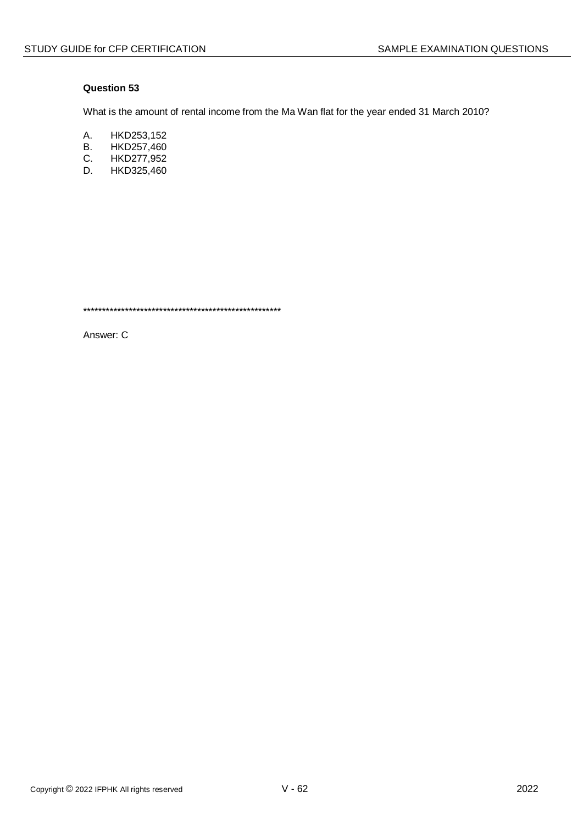What is the amount of rental income from the Ma Wan flat for the year ended 31 March 2010?

- A. HKD253,152
- **B.** HKD257,460
- $C_{\cdot}$ HKD277,952
- HKD325,460 D.

Answer: C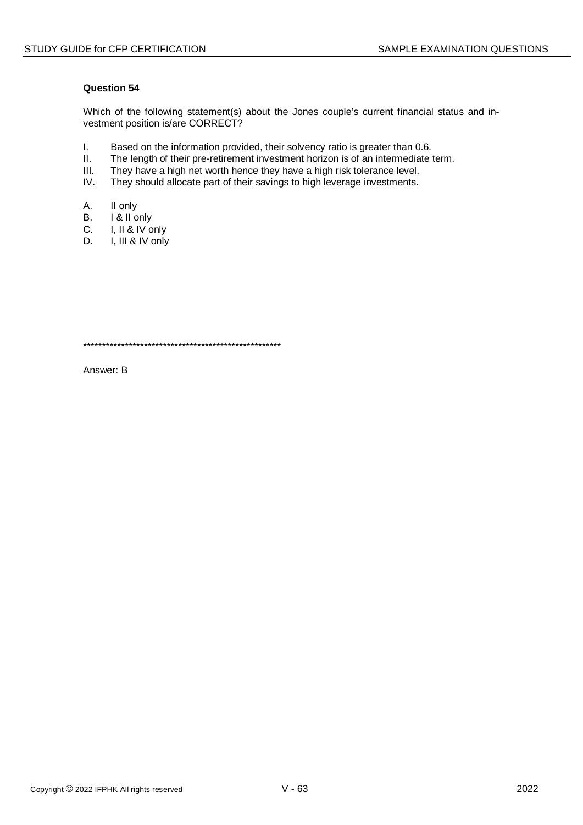Which of the following statement(s) about the Jones couple's current financial status and investment position is/are CORRECT?

- $\mathbf{L}$ Based on the information provided, their solvency ratio is greater than 0.6.
- $II.$ The length of their pre-retirement investment horizon is of an intermediate term.
- $III.$ They have a high net worth hence they have a high risk tolerance level.
- IV. They should allocate part of their savings to high leverage investments.
- Α. II only
- $B<sub>1</sub>$ I & II only
- $C_{\cdot}$ I, II & IV only
- I, III & IV only D.

Answer: B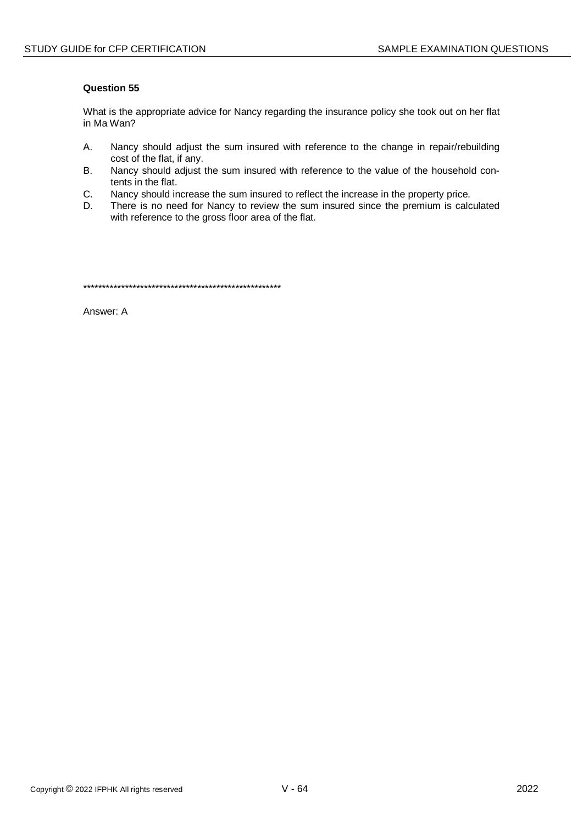What is the appropriate advice for Nancy regarding the insurance policy she took out on her flat in Ma Wan?

- $A<sub>1</sub>$ Nancy should adjust the sum insured with reference to the change in repair/rebuilding cost of the flat, if any.
- $B<sub>r</sub>$ Nancy should adjust the sum insured with reference to the value of the household contents in the flat.
- Nancy should increase the sum insured to reflect the increase in the property price. C.
- There is no need for Nancy to review the sum insured since the premium is calculated D. with reference to the gross floor area of the flat.

Answer: A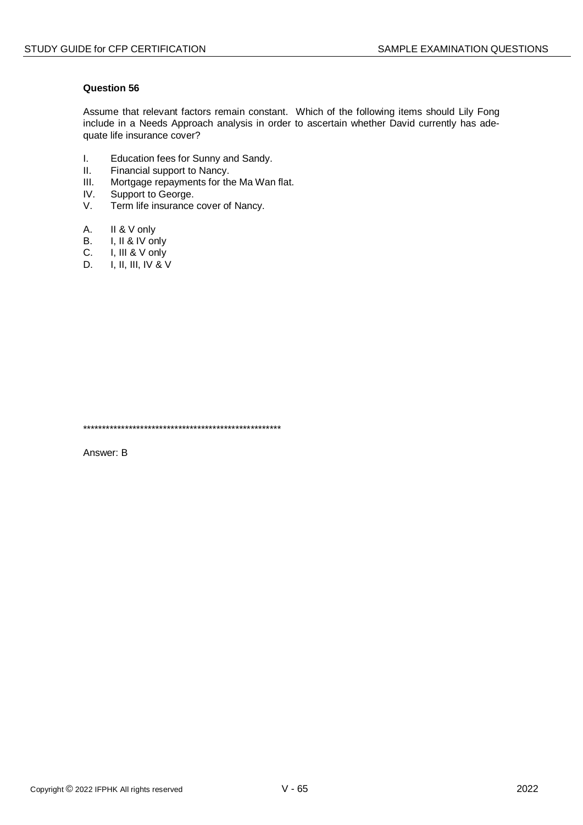Assume that relevant factors remain constant. Which of the following items should Lily Fong include in a Needs Approach analysis in order to ascertain whether David currently has adequate life insurance cover?

- $\mathbf{L}$ Education fees for Sunny and Sandy.
- Financial support to Nancy.  $II.$
- $III.$ Mortgage repayments for the Ma Wan flat.
- IV. Support to George.
- V. Term life insurance cover of Nancy.
- A. II & V only
- I, II & IV only **B.**
- $C_{\cdot}$ I, III & V only
- $I, II, III, IV & V$ D.

Answer: B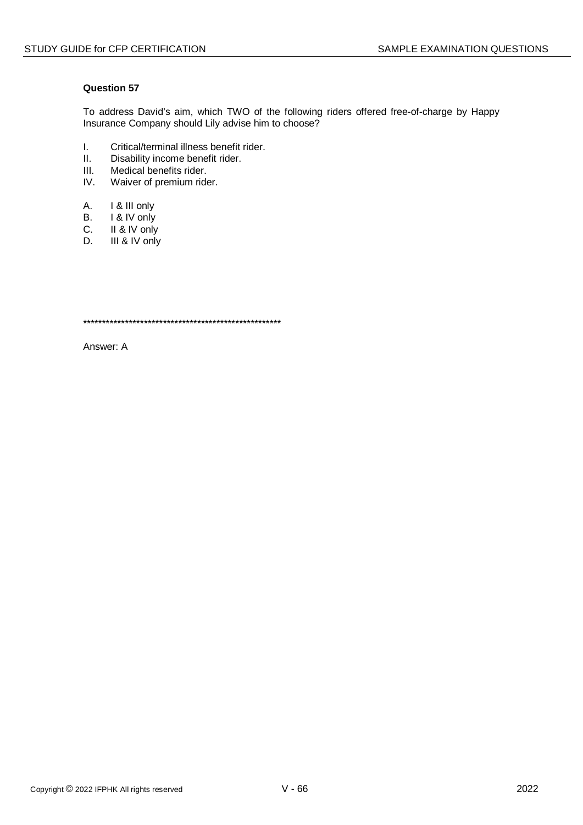To address David's aim, which TWO of the following riders offered free-of-charge by Happy Insurance Company should Lily advise him to choose?

- I. Critical/terminal illness benefit rider.<br>II. Disability income benefit rider.
- Disability income benefit rider.
- III. Medical benefits rider.<br>IV. Waiver of premium ride
- Waiver of premium rider.
- A. I & III only
- 
- B. I & IV only<br>C. II & IV only C. II & IV only<br>D. III & IV only
- III & IV only

\*\*\*\*\*\*\*\*\*\*\*\*\*\*\*\*\*\*\*\*\*\*\*\*\*\*\*\*\*\*\*\*\*\*\*\*\*\*\*\*\*\*\*\*\*\*\*\*\*\*\*\*

Answer: A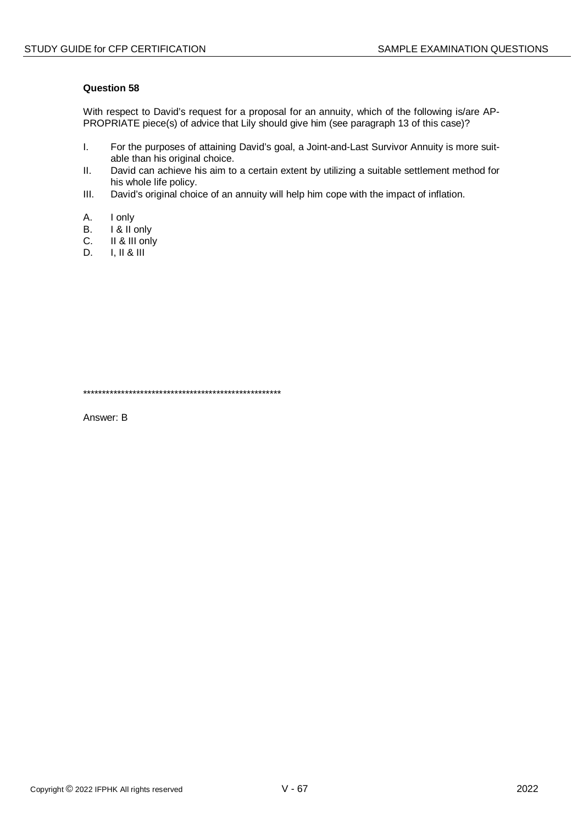With respect to David's request for a proposal for an annuity, which of the following is/are AP-PROPRIATE piece(s) of advice that Lily should give him (see paragraph 13 of this case)?

- $\mathbf{L}$ For the purposes of attaining David's goal, a Joint-and-Last Survivor Annuity is more suitable than his original choice.
- $II.$ David can achieve his aim to a certain extent by utilizing a suitable settlement method for his whole life policy.
- $III.$ David's original choice of an annuity will help him cope with the impact of inflation.
- $A<sub>1</sub>$ I only
- I & II only  $B<sub>r</sub>$
- II & III only C.
- $I, II & 1II$ D.

Answer: B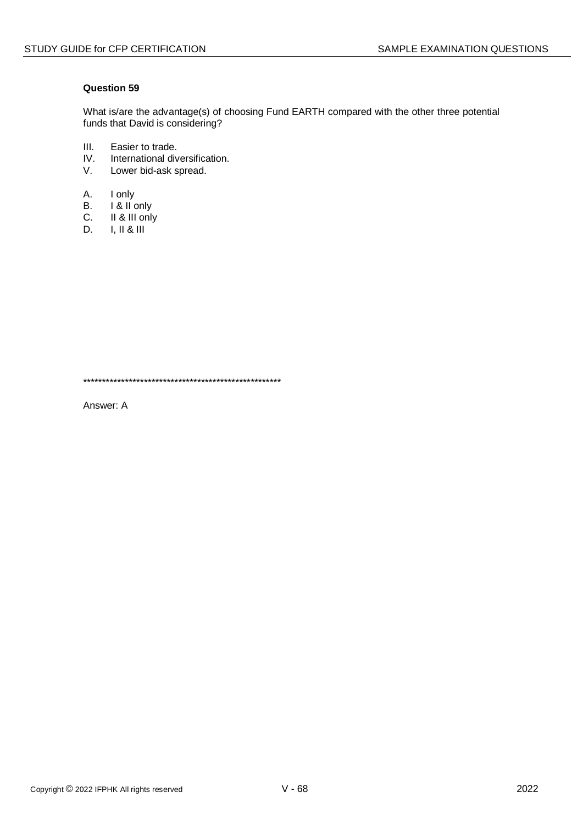What is/are the advantage(s) of choosing Fund EARTH compared with the other three potential funds that David is considering?

- $III.$ Easier to trade.
- $IV.$ International diversification.
- $V_{\tau}$ Lower bid-ask spread.
- A. I only
- **B.** I & II only
- II & III only  $C_{\cdot}$
- D.  $I, II & II$

Answer: A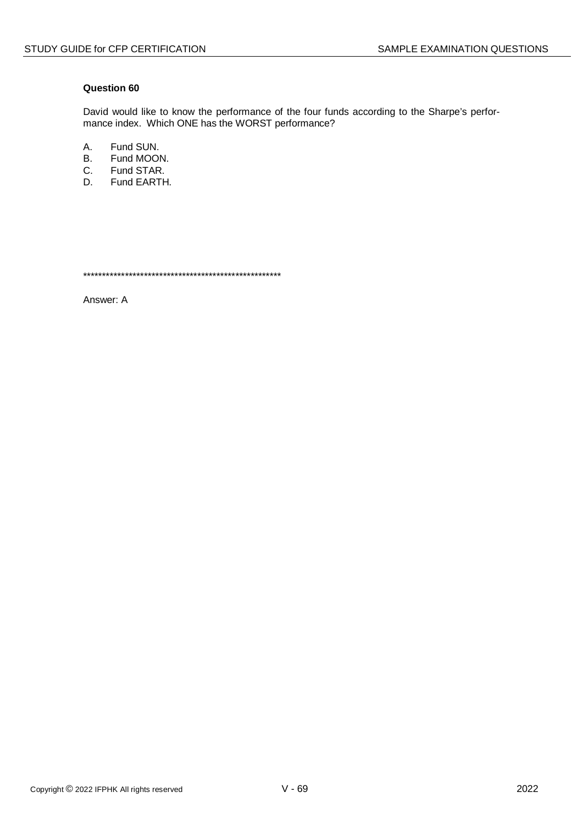David would like to know the performance of the four funds according to the Sharpe's performance index. Which ONE has the WORST performance?

A. Fund SUN.

- **B.** Fund MOON.
- C. Fund STAR.
- D. Fund EARTH.

Answer: A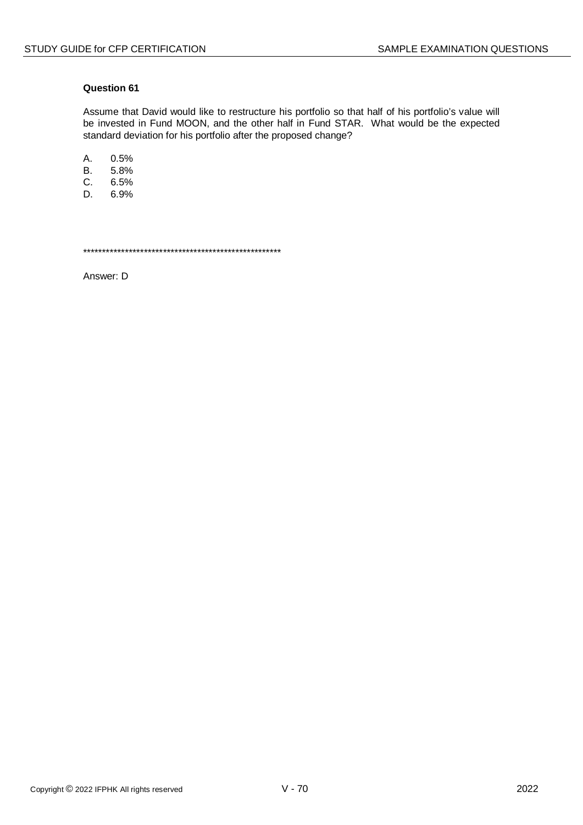Assume that David would like to restructure his portfolio so that half of his portfolio's value will be invested in Fund MOON, and the other half in Fund STAR. What would be the expected standard deviation for his portfolio after the proposed change?

A. 0.5%

 $B<sub>1</sub>$ 5.8%

C.  $6.5%$ 

D. 6.9%

Answer: D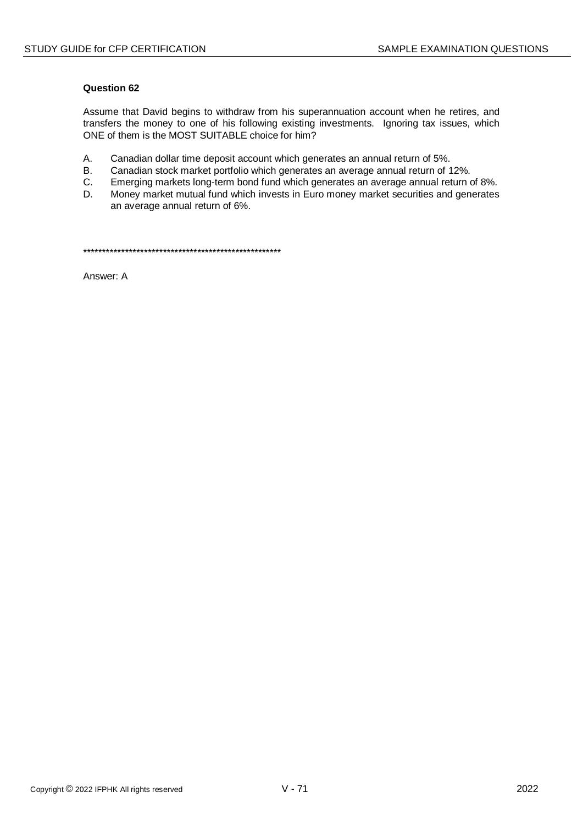Assume that David begins to withdraw from his superannuation account when he retires, and transfers the money to one of his following existing investments. Ignoring tax issues, which ONE of them is the MOST SUITABLE choice for him?

- A. Canadian dollar time deposit account which generates an annual return of 5%.
- $B<sub>r</sub>$ Canadian stock market portfolio which generates an average annual return of 12%.
- C. Emerging markets long-term bond fund which generates an average annual return of 8%.
- Money market mutual fund which invests in Euro money market securities and generates D. an average annual return of 6%.

Answer A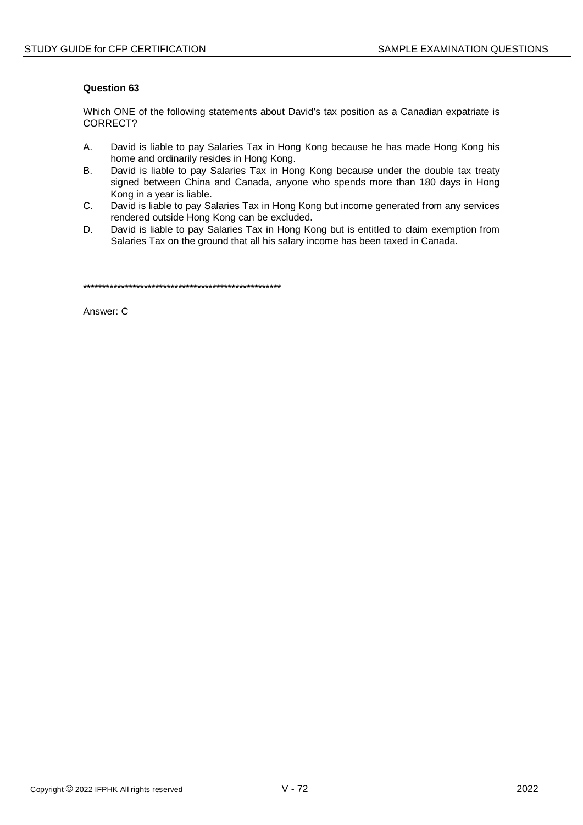Which ONE of the following statements about David's tax position as a Canadian expatriate is CORRECT?

- $\mathsf{A}$ David is liable to pay Salaries Tax in Hong Kong because he has made Hong Kong his home and ordinarily resides in Hong Kong.
- $B<sub>r</sub>$ David is liable to pay Salaries Tax in Hong Kong because under the double tax treaty signed between China and Canada, anyone who spends more than 180 days in Hong Kong in a year is liable.
- David is liable to pay Salaries Tax in Hong Kong but income generated from any services C. rendered outside Hong Kong can be excluded.
- D. David is liable to pay Salaries Tax in Hong Kong but is entitled to claim exemption from Salaries Tax on the ground that all his salary income has been taxed in Canada.

Answer: C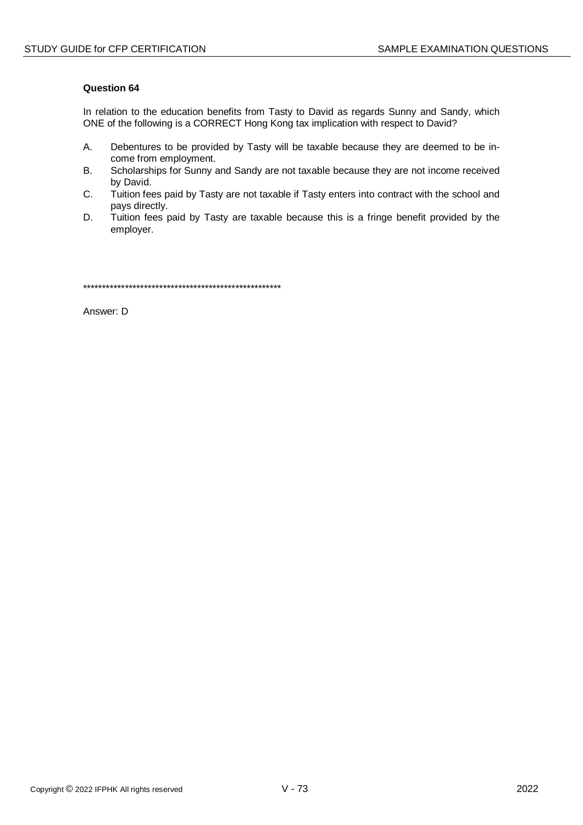In relation to the education benefits from Tasty to David as regards Sunny and Sandy, which ONE of the following is a CORRECT Hong Kong tax implication with respect to David?

- A. Debentures to be provided by Tasty will be taxable because they are deemed to be income from employment.
- **B.** Scholarships for Sunny and Sandy are not taxable because they are not income received by David.
- C. Tuition fees paid by Tasty are not taxable if Tasty enters into contract with the school and pays directly.
- D. Tuition fees paid by Tasty are taxable because this is a fringe benefit provided by the employer.

Answer: D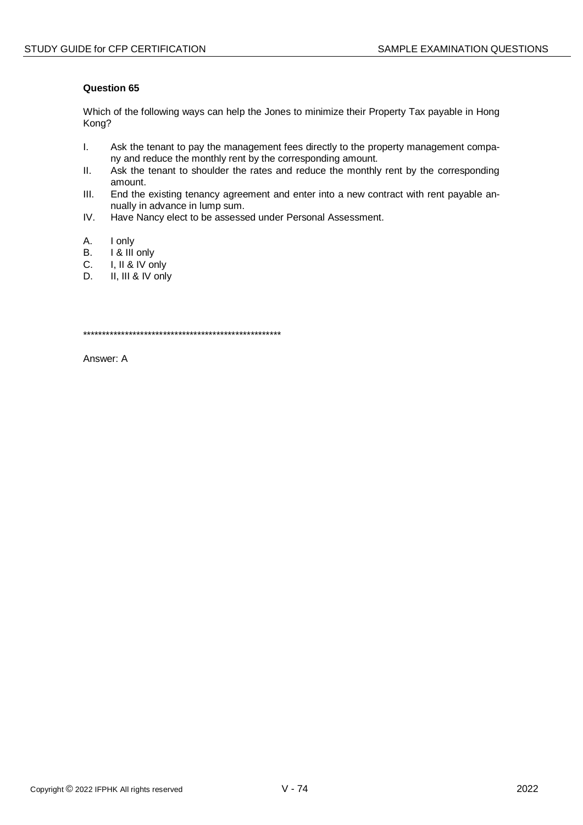Which of the following ways can help the Jones to minimize their Property Tax payable in Hong Kong?

- $\mathbf{L}$ Ask the tenant to pay the management fees directly to the property management company and reduce the monthly rent by the corresponding amount.
- $II.$ Ask the tenant to shoulder the rates and reduce the monthly rent by the corresponding amount.
- $III.$ End the existing tenancy agreement and enter into a new contract with rent payable annually in advance in lump sum.
- $IV.$ Have Nancy elect to be assessed under Personal Assessment.
- А. I only
- I & III only **B.**
- $C_{\cdot}$ I, II & IV only
- D. II, III & IV only

Answer: A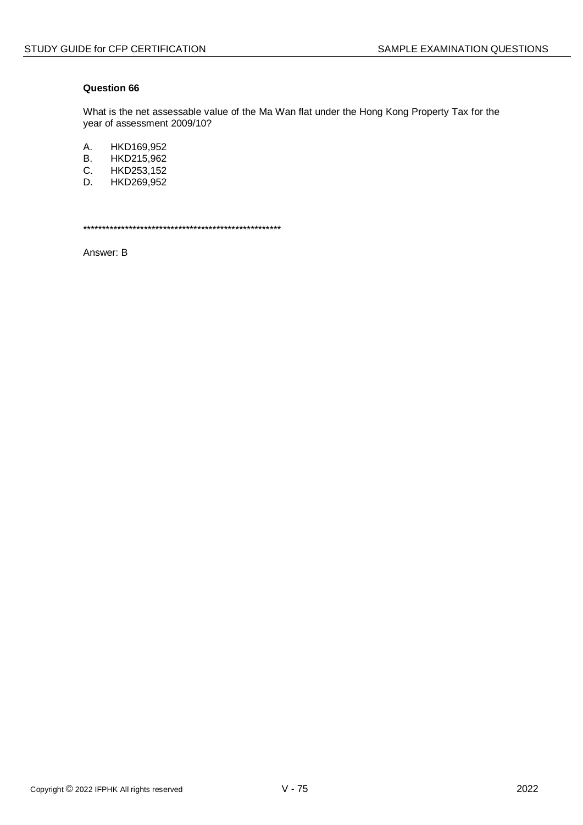What is the net assessable value of the Ma Wan flat under the Hong Kong Property Tax for the year of assessment 2009/10?

A. HKD169,952

- **B.** HKD215,962
- C. HKD253,152
- D. HKD269,952

Answer: B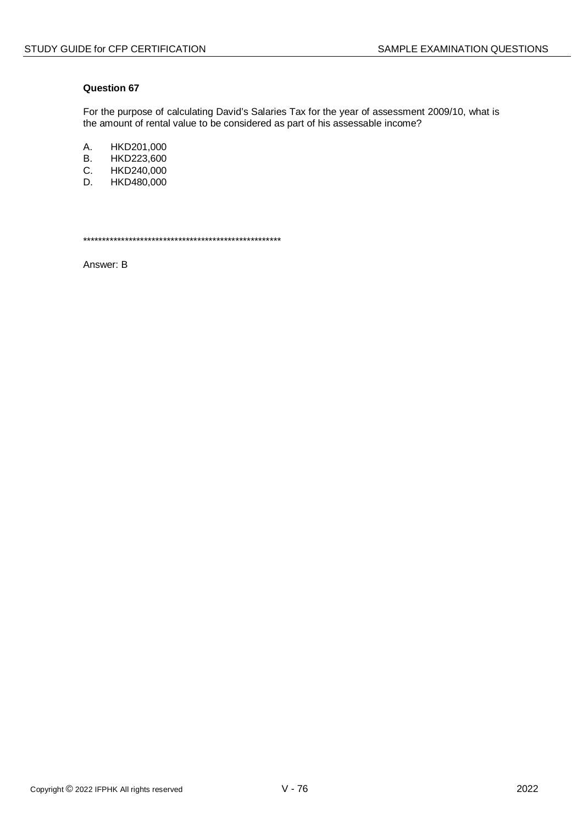For the purpose of calculating David's Salaries Tax for the year of assessment 2009/10, what is the amount of rental value to be considered as part of his assessable income?

A. HKD201,000<br>B. HKD223,600

- B. HKD223,600<br>C. HKD240,000
- C. HKD240,000<br>D. HKD480.000
- HKD480,000

\*\*\*\*\*\*\*\*\*\*\*\*\*\*\*\*\*\*\*\*\*\*\*\*\*\*\*\*\*\*\*\*\*\*\*\*\*\*\*\*\*\*\*\*\*\*\*\*\*\*\*\*

Answer: B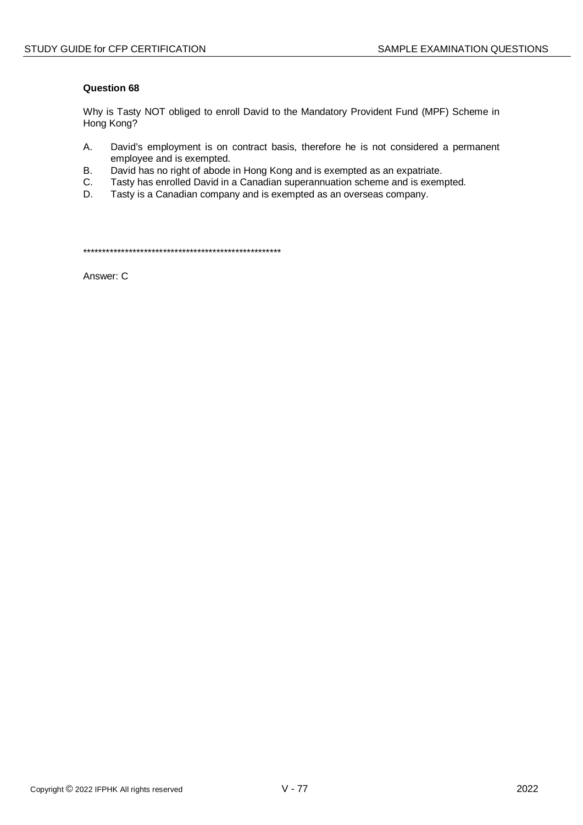Why is Tasty NOT obliged to enroll David to the Mandatory Provident Fund (MPF) Scheme in Hong Kong?

- A. David's employment is on contract basis, therefore he is not considered a permanent employee and is exempted.
- $B<sub>1</sub>$ David has no right of abode in Hong Kong and is exempted as an expatriate.
- $C.$ Tasty has enrolled David in a Canadian superannuation scheme and is exempted.
- Tasty is a Canadian company and is exempted as an overseas company. D.

Answer: C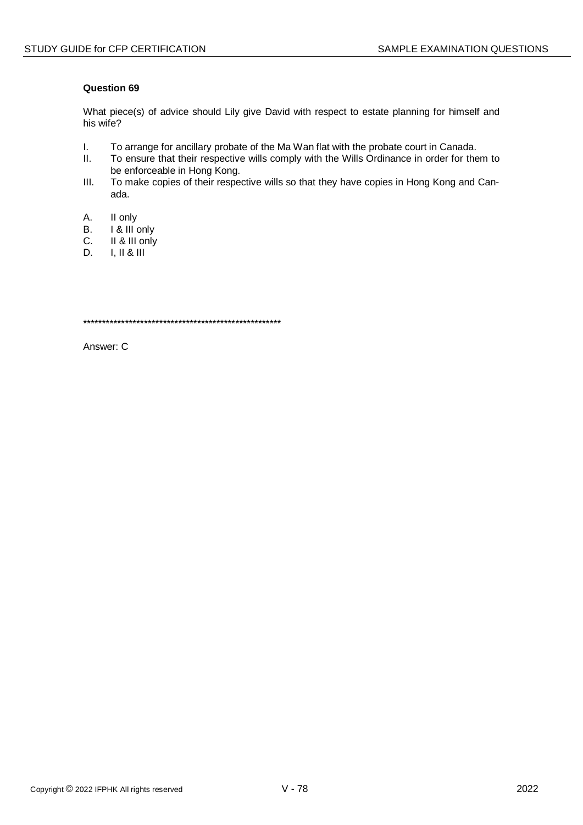What piece(s) of advice should Lily give David with respect to estate planning for himself and his wife?

- $\mathbf{L}$ To arrange for ancillary probate of the Ma Wan flat with the probate court in Canada.
- $II.$ To ensure that their respective wills comply with the Wills Ordinance in order for them to be enforceable in Hong Kong.
- $III.$ To make copies of their respective wills so that they have copies in Hong Kong and Canada.
- A. II only
- I & III only **B.**
- II & III only C.
- $I, II & II$ D.

Answer: C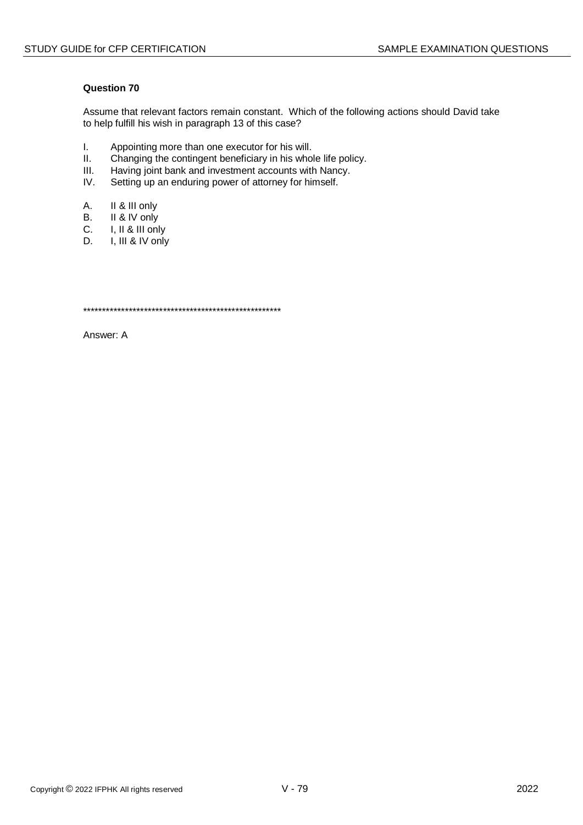Assume that relevant factors remain constant. Which of the following actions should David take to help fulfill his wish in paragraph 13 of this case?

- $\mathbf{L}$ Appointing more than one executor for his will.
- $II.$ Changing the contingent beneficiary in his whole life policy.
- $III.$ Having joint bank and investment accounts with Nancy.
- $IV.$ Setting up an enduring power of attorney for himself.
- A. II & III only
- $B<sub>1</sub>$ II & IV only
- $C_{\cdot}$ I, II & III only
- I, III & IV only D.

Answer: A